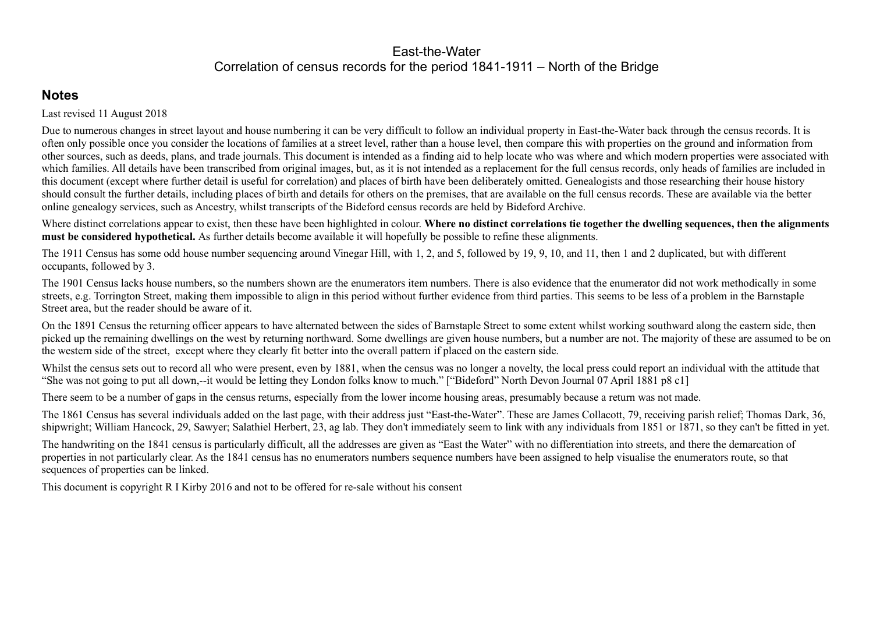# East-the-WaterCorrelation of census records for the period 1841-1911 – North of the Bridge

# **Notes**

Last revised 11 August 2018

Due to numerous changes in street layout and house numbering it can be very difficult to follow an individual property in East-the-Water back through the census records. It is often only possible once you consider the locations of families at a street level, rather than a house level, then compare this with properties on the ground and information from other sources, such as deeds, plans, and trade journals. This document is intended as a finding aid to help locate who was where and which modern properties were associated with which families. All details have been transcribed from original images, but, as it is not intended as a replacement for the full census records, only heads of families are included in this document (except where further detail is useful for correlation) and places of birth have been deliberately omitted. Genealogists and those researching their house history should consult the further details, including places of birth and details for others on the premises, that are available on the full census records. These are available via the better online genealogy services, such as Ancestry, whilst transcripts of the Bideford census records are held by Bideford Archive.

Where distinct correlations appear to exist, then these have been highlighted in colour. **Where no distinct correlations tie together the dwelling sequences, then the alignmentsmust be considered hypothetical.** As further details become available it will hopefully be possible to refine these alignments.

Whilst the census sets out to record all who were present, even by 1881, when the census was no longer a novelty, the local press could report an individual with the attitude that "She was not going to put all down,--it would be letting they London folks know to much." ["Bideford" North Devon Journal 07 April 1881 p8 c1]

The 1911 Census has some odd house number sequencing around Vinegar Hill, with 1, 2, and 5, followed by 19, 9, 10, and 11, then 1 and 2 duplicated, but with different occupants, followed by 3.

The 1901 Census lacks house numbers, so the numbers shown are the enumerators item numbers. There is also evidence that the enumerator did not work methodically in some streets, e.g. Torrington Street, making them impossible to align in this period without further evidence from third parties. This seems to be less of a problem in the Barnstaple Street area, but the reader should be aware of it.

On the 1891 Census the returning officer appears to have alternated between the sides of Barnstaple Street to some extent whilst working southward along the eastern side, then picked up the remaining dwellings on the west by returning northward. Some dwellings are given house numbers, but a number are not. The majority of these are assumed to be onthe western side of the street, except where they clearly fit better into the overall pattern if placed on the eastern side.

There seem to be a number of gaps in the census returns, especially from the lower income housing areas, presumably because a return was not made.

The 1861 Census has several individuals added on the last page, with their address just "East-the-Water". These are James Collacott, 79, receiving parish relief; Thomas Dark, 36, shipwright; William Hancock, 29, Sawyer; Salathiel Herbert, 23, ag lab. They don't immediately seem to link with any individuals from 1851 or 1871, so they can't be fitted in yet.

The handwriting on the 1841 census is particularly difficult, all the addresses are given as "East the Water" with no differentiation into streets, and there the demarcation of properties in not particularly clear. As the 1841 census has no enumerators numbers sequence numbers have been assigned to help visualise the enumerators route, so that sequences of properties can be linked.

This document is copyright R I Kirby 2016 and not to be offered for re-sale without his consent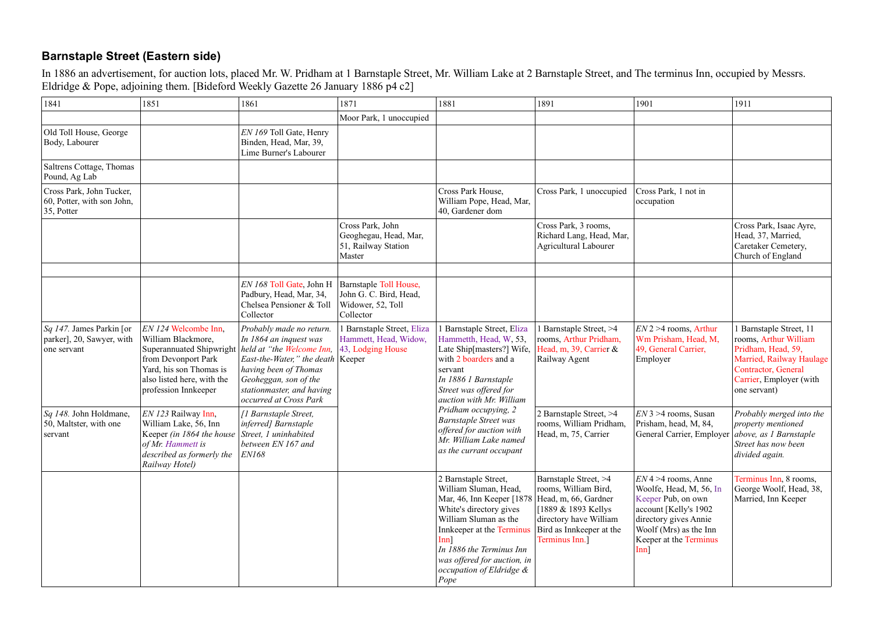# **Barnstaple Street (Eastern side)**

In 1886 an advertisement, for auction lots, placed Mr. W. Pridham at 1 Barnstaple Street, Mr. William Lake at 2 Barnstaple Street, and The terminus Inn, occupied by Messrs.<br>Eldridge & Pope, adjoining them. [Bideford Weekly

| 1841                                                                    | 1851                                                                                                                                                                                                                                                     | 1861                                                                                                                                                                                                                                                               | 1871                                                                                                                                  | 1881                                                                                                                                                                                                                                                                                         | 1891                                                                                                                                          | 1901                                                                                                                                                                                     | 1911                                                                                                                                                                         |
|-------------------------------------------------------------------------|----------------------------------------------------------------------------------------------------------------------------------------------------------------------------------------------------------------------------------------------------------|--------------------------------------------------------------------------------------------------------------------------------------------------------------------------------------------------------------------------------------------------------------------|---------------------------------------------------------------------------------------------------------------------------------------|----------------------------------------------------------------------------------------------------------------------------------------------------------------------------------------------------------------------------------------------------------------------------------------------|-----------------------------------------------------------------------------------------------------------------------------------------------|------------------------------------------------------------------------------------------------------------------------------------------------------------------------------------------|------------------------------------------------------------------------------------------------------------------------------------------------------------------------------|
|                                                                         |                                                                                                                                                                                                                                                          |                                                                                                                                                                                                                                                                    | Moor Park, 1 unoccupied                                                                                                               |                                                                                                                                                                                                                                                                                              |                                                                                                                                               |                                                                                                                                                                                          |                                                                                                                                                                              |
| Old Toll House, George<br>Body, Labourer                                |                                                                                                                                                                                                                                                          | EN 169 Toll Gate, Henry<br>Binden, Head, Mar, 39,<br>Lime Burner's Labourer                                                                                                                                                                                        |                                                                                                                                       |                                                                                                                                                                                                                                                                                              |                                                                                                                                               |                                                                                                                                                                                          |                                                                                                                                                                              |
| Saltrens Cottage, Thomas<br>Pound, Ag Lab                               |                                                                                                                                                                                                                                                          |                                                                                                                                                                                                                                                                    |                                                                                                                                       |                                                                                                                                                                                                                                                                                              |                                                                                                                                               |                                                                                                                                                                                          |                                                                                                                                                                              |
| Cross Park, John Tucker,<br>60, Potter, with son John,<br>$35$ , Potter |                                                                                                                                                                                                                                                          |                                                                                                                                                                                                                                                                    |                                                                                                                                       | Cross Park House,<br>William Pope, Head, Mar,<br>40, Gardener dom                                                                                                                                                                                                                            | Cross Park, 1 unoccupied                                                                                                                      | Cross Park, 1 not in<br>occupation                                                                                                                                                       |                                                                                                                                                                              |
|                                                                         |                                                                                                                                                                                                                                                          |                                                                                                                                                                                                                                                                    | Cross Park, John<br>Geoghegau, Head, Mar,<br>51, Railway Station<br>Master                                                            |                                                                                                                                                                                                                                                                                              | Cross Park, 3 rooms,<br>Richard Lang, Head, Mar,<br><b>Agricultural Labourer</b>                                                              |                                                                                                                                                                                          | Cross Park, Isaac Ayre,<br>Head, 37, Married,<br>Caretaker Cemetery,<br>Church of England                                                                                    |
|                                                                         |                                                                                                                                                                                                                                                          | EN 168 Toll Gate, John H<br>Padbury, Head, Mar, 34,<br>Chelsea Pensioner & Toll<br>Collector                                                                                                                                                                       | <b>Barnstaple Toll House,</b><br>John G. C. Bird, Head,<br>Widower, 52, Toll<br>Collector                                             |                                                                                                                                                                                                                                                                                              |                                                                                                                                               |                                                                                                                                                                                          |                                                                                                                                                                              |
| $Sq$ 147. James Parkin [or<br>parker], 20, Sawyer, with<br>one servant  | EN 124 Welcombe Inn,<br>William Blackmore,<br>from Devonport Park<br>Yard, his son Thomas is<br>also listed here, with the<br>profession Innkeeper                                                                                                       | Probably made no return.<br>In 1864 an inquest was<br>Superannuated Shipwright   held at "the Welcome Inn,<br><i>East-the-Water,</i> " the death   Keeper<br>having been of Thomas<br>Geoheggan, son of the<br>stationmaster, and having<br>occurred at Cross Park | l Barnstaple Street, Eliza<br>Hammett, Head, Widow,<br>$ 43,$ Lodging House                                                           | 1 Barnstaple Street, Eliza<br>Hammetth, Head, W, 53,<br>Late Ship[masters?] Wife,<br>with 2 boarders and a<br>servant<br>In 1886 1 Barnstaple<br>Street was offered for<br>auction with Mr. William                                                                                          | <b>Barnstaple Street, &gt;4</b><br>rooms, Arthur Pridham,<br>Head, m, 39, Carrier $\&$<br>Railway Agent                                       | $EN2 > 4$ rooms, Arthur<br>Wm Prisham, Head, M,<br>49, General Carrier,<br>Employer                                                                                                      | 1 Barnstaple Street, 11<br>rooms, Arthur William<br>Pridham, Head, 59,<br>Married, Railway Haulage<br><b>Contractor</b> , General<br>Carrier, Employer (with<br>one servant) |
| Sq 148. John Holdmane,<br>50, Maltster, with one<br>servant             | EN 123 Railway Inn,<br>[1 Barnstaple Street,<br>William Lake, 56, Inn<br>inferred] Barnstaple<br>Street, 1 uninhabited<br>Keeper (in 1864 the house<br>between EN 167 and<br>of Mr. Hammett is<br>described as formerly the<br> ENI68 <br>Railway Hotel) |                                                                                                                                                                                                                                                                    | Pridham occupying, 2<br><b>Barnstaple Street was</b><br>offered for auction with<br>Mr. William Lake named<br>as the currant occupant | 2 Barnstaple Street, >4<br>rooms, William Pridham,<br>Head, m, 75, Carrier                                                                                                                                                                                                                   | $EN3 > 4$ rooms, Susan<br>Prisham, head, M, 84,<br>General Carrier, Employer   above, as 1 Barnstaple                                         | Probably merged into the<br>property mentioned<br>Street has now been<br>divided again.                                                                                                  |                                                                                                                                                                              |
|                                                                         |                                                                                                                                                                                                                                                          |                                                                                                                                                                                                                                                                    |                                                                                                                                       | 2 Barnstaple Street,<br>William Sluman, Head,<br>Mar, 46, Inn Keeper [1878   Head, m, 66, Gardner<br>White's directory gives<br>William Sluman as the<br>Innkeeper at the Terminus<br>[nn]<br>In 1886 the Terminus Inn<br>was offered for auction, in<br>occupation of Eldridge $\&$<br>Pope | Barnstaple Street, >4<br>rooms, William Bird,<br>[1889 & 1893 Kellys]<br>directory have William<br>Bird as Innkeeper at the<br>Terminus Inn.] | $EN$ 4 > 4 rooms, Anne<br>Woolfe, Head, M, 56, In<br>Keeper Pub, on own<br>account [Kelly's 1902<br>directory gives Annie<br>Woolf (Mrs) as the Inn<br>Keeper at the Terminus<br>$Inn$ ] | Terminus Inn, 8 rooms,<br>George Woolf, Head, 38,<br>Married, Inn Keeper                                                                                                     |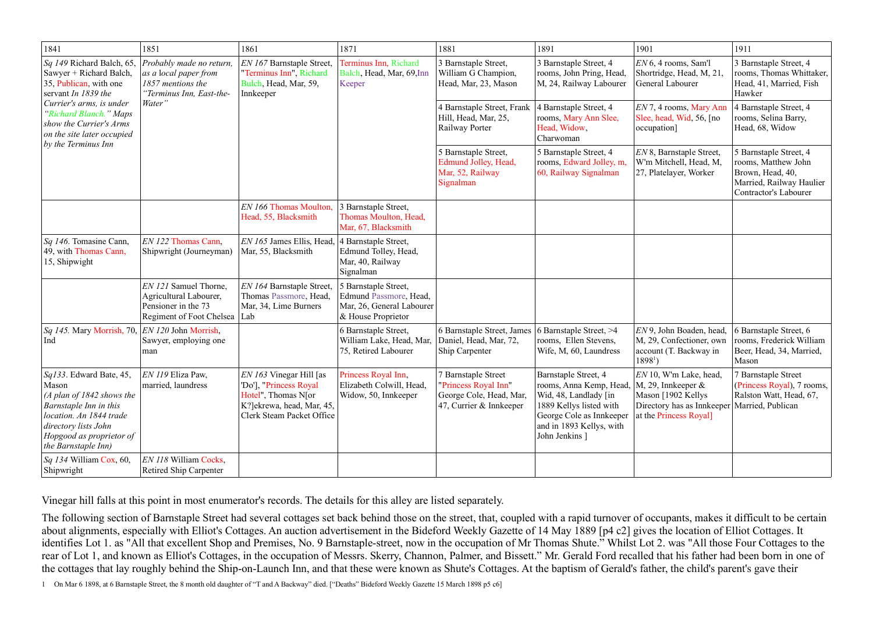| 1841                                                                                                                                                                                                                 | 1851                                                                                                     | 1861                                                                                                                                 | 1871                                                                                              | 1881                                                                                              | 1891                                                                                                                                                                          | 1901                                                                                                                                 | 1911                                                                                                                   |
|----------------------------------------------------------------------------------------------------------------------------------------------------------------------------------------------------------------------|----------------------------------------------------------------------------------------------------------|--------------------------------------------------------------------------------------------------------------------------------------|---------------------------------------------------------------------------------------------------|---------------------------------------------------------------------------------------------------|-------------------------------------------------------------------------------------------------------------------------------------------------------------------------------|--------------------------------------------------------------------------------------------------------------------------------------|------------------------------------------------------------------------------------------------------------------------|
| Sq 149 Richard Balch, 65,<br>Sawyer + Richard Balch,<br>35, Publican, with one<br>servant In 1839 the<br>Currier's arms, is under<br>"Richard Blanch." Maps<br>show the Currier's Arms<br>on the site later occupied | Probably made no return,<br>as a local paper from<br>1857 mentions the<br>"Terminus Inn, East-the-       | <i>EN 167</i> Barnstaple Street,<br>"Terminus Inn", Richard<br>Bulch, Head, Mar, 59,<br>Innkeeper                                    | Terminus Inn, Richard<br>Balch, Head, Mar, 69, Inn<br>Keeper                                      | 3 Barnstaple Street,<br>William G Champion,<br>Head, Mar, 23, Mason                               | 3 Barnstaple Street, 4<br>rooms, John Pring, Head,<br>M, 24, Railway Labourer                                                                                                 | $EN6$ , 4 rooms, Sam'l<br>Shortridge, Head, M, 21,<br>General Labourer                                                               | 3 Barnstaple Street, 4<br>rooms, Thomas Whittaker,<br>Head, 41, Married, Fish<br>Hawker                                |
|                                                                                                                                                                                                                      | Water"                                                                                                   |                                                                                                                                      |                                                                                                   | 4 Barnstaple Street, Frank<br>Hill, Head, Mar, 25,<br>Railway Porter                              | 4 Barnstaple Street, 4<br>rooms, Mary Ann Slee,<br>Head, Widow,<br>Charwoman                                                                                                  | EN 7, 4 rooms, Mary Ann<br>Slee, head, Wid, 56, [no<br>occupation]                                                                   | 4 Barnstaple Street, 4<br>rooms, Selina Barry,<br>Head, 68, Widow                                                      |
| $\vert$ by the Terminus Inn                                                                                                                                                                                          |                                                                                                          |                                                                                                                                      |                                                                                                   | 5 Barnstaple Street,<br>Edmund Jolley, Head,<br>Mar, 52, Railway<br>Signalman                     | 5 Barnstaple Street, 4<br>rooms, Edward Jolley, m,<br>60, Railway Signalman                                                                                                   | EN 8, Barnstaple Street,<br>W'm Mitchell, Head, M,<br>27, Platelayer, Worker                                                         | 5 Barnstaple Street, 4<br>rooms, Matthew John<br>Brown, Head, 40,<br>Married, Railway Haulier<br>Contractor's Labourer |
|                                                                                                                                                                                                                      |                                                                                                          | EN 166 Thomas Moulton,<br>Head, 55, Blacksmith                                                                                       | 3 Barnstaple Street,<br>Thomas Moulton, Head,<br>Mar, 67, Blacksmith                              |                                                                                                   |                                                                                                                                                                               |                                                                                                                                      |                                                                                                                        |
| Sq 146. Tomasine Cann,<br>49, with Thomas Cann,<br>15, Shipwight                                                                                                                                                     | EN 122 Thomas Cann,<br>Shipwright (Journeyman)                                                           | EN 165 James Ellis, Head,<br>Mar, 55, Blacksmith                                                                                     | 4 Barnstaple Street,<br>Edmund Tolley, Head,<br>Mar, 40, Railway<br>Signalman                     |                                                                                                   |                                                                                                                                                                               |                                                                                                                                      |                                                                                                                        |
|                                                                                                                                                                                                                      | EN 121 Samuel Thorne,<br>Agricultural Labourer,<br>Pensioner in the 73<br>Regiment of Foot Chelsea   Lab | EN 164 Barnstaple Street,<br>Thomas Passmore, Head,<br>Mar, 34, Lime Burners                                                         | 5 Barnstaple Street,<br>Edmund Passmore, Head,<br>Mar, 26, General Labourer<br>& House Proprietor |                                                                                                   |                                                                                                                                                                               |                                                                                                                                      |                                                                                                                        |
| Sq 145. Mary Morrish, 70, $ EN I20$ John Morrish,<br>Ind                                                                                                                                                             | Sawyer, employing one<br>man                                                                             |                                                                                                                                      | 6 Barnstaple Street,<br>William Lake, Head, Mar,<br>75, Retired Labourer                          | 6 Barnstaple Street, James<br>Daniel, Head, Mar, 72,<br><b>Ship Carpenter</b>                     | 6 Barnstaple Street, >4<br>rooms, Ellen Stevens,<br>Wife, M, 60, Laundress                                                                                                    | EN 9, John Boaden, head,<br>M, 29, Confectioner, own<br>account (T. Backway in<br>$18981$ )                                          | 6 Barnstaple Street, 6<br>rooms, Frederick William<br>Beer, Head, 34, Married,<br>Mason                                |
| Sq133. Edward Bate, 45,<br>Mason<br>$(A$ plan of 1842 shows the<br>Barnstaple Inn in this<br>location. An 1844 trade<br>directory lists John<br>Hopgood as proprietor of<br>the Barnstaple Inn)                      | EN 119 Eliza Paw,<br>married, laundress                                                                  | $EN 163$ Vinegar Hill [as<br>'Do'], "Princess Royal<br>Hotel", Thomas N[or<br>K?]ekrewa, head, Mar, 45,<br>Clerk Steam Packet Office | Princess Royal Inn,<br>Elizabeth Colwill, Head,<br>Widow, 50, Innkeeper                           | 7 Barnstaple Street<br>"Princess Royal Inn"<br>George Cole, Head, Mar,<br>47, Currier & Innkeeper | Barnstaple Street, 4<br>rooms, Anna Kemp, Head,<br>Wid, 48, Landlady [in<br>1889 Kellys listed with<br>George Cole as Innkeeper<br>and in 1893 Kellys, with<br>John Jenkins ] | $EN$ 10, W'm Lake, head,<br>$ M$ , 29, Innkeeper $\&$<br>Mason [1902 Kellys]<br>Directory has as Innkeeper<br>at the Princess Royal] | 7 Barnstaple Street<br>(Princess Royal), 7 rooms,<br>Ralston Watt, Head, 67,<br>Married, Publican                      |
| <i>Sq 134</i> William Cox, 60,<br>Shipwright                                                                                                                                                                         | EN 118 William Cocks,<br><b>Retired Ship Carpenter</b>                                                   |                                                                                                                                      |                                                                                                   |                                                                                                   |                                                                                                                                                                               |                                                                                                                                      |                                                                                                                        |

Vinegar hill falls at this point in most enumerator's records. The details for this alley are listed separately.

The following section of Barnstaple Street had several cottages set back behind those on the street, that, coupled with a rapid turnover of occupants, makes it difficult to be certain about alignments, especially with Elliot's Cottages. An auction advertisement in the Bideford Weekly Gazette of 14 May 1889 [p4 c2] gives the location of Elliot Cottages. It identifies Lot 1. as "All that excellent Shop and Premises, No. 9 Barnstaple-street, now in the occupation of Mr Thomas Shute." Whilst Lot 2. was "All those Four Cottages to the rear of Lot 1, and known as Elliot's Cottages, in the occupation of Messrs. Skerry, Channon, Palmer, and Bissett." Mr. Gerald Ford recalled that his father had been born in one of the cottages that lay roughly behind the Ship-on-Launch Inn, and that these were known as Shute's Cottages. At the baptism of Gerald's father, the child's parent's gave their

<sup>1</sup> On Mar 6 1898, at 6 Barnstaple Street, the 8 month old daughter of "T and A Backway" died. ["Deaths" Bideford Weekly Gazette 15 March 1898 p5 c6]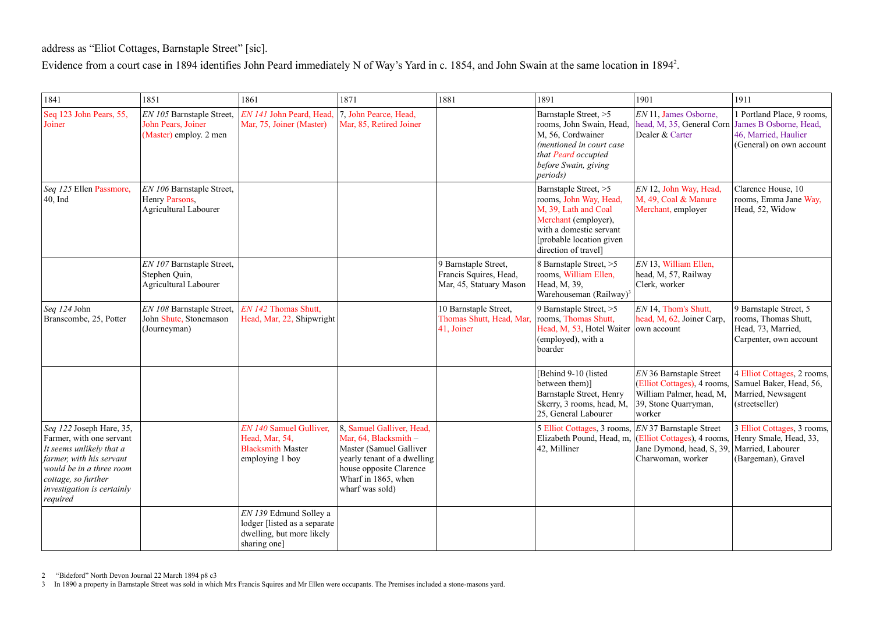address as "Eliot Cottages, Barnstaple Street" [sic].

Evidence from a court case in 1894 identifies John Peard immediately N of Way's Yard in c. 1854, and John Swain at the same location in 1894 $^2$ .

| 1841                                                                                                                                                                                                                    | 1851                                                                        | 1861                                                                                                 | 1871                                                                                                                                                                              | 1881                                                                      | 1891                                                                                                                                                                           | 1901                                                                                                                 | 1911                                                                                                     |
|-------------------------------------------------------------------------------------------------------------------------------------------------------------------------------------------------------------------------|-----------------------------------------------------------------------------|------------------------------------------------------------------------------------------------------|-----------------------------------------------------------------------------------------------------------------------------------------------------------------------------------|---------------------------------------------------------------------------|--------------------------------------------------------------------------------------------------------------------------------------------------------------------------------|----------------------------------------------------------------------------------------------------------------------|----------------------------------------------------------------------------------------------------------|
| Seq 123 John Pears, 55,<br>Joiner                                                                                                                                                                                       | EN 105 Barnstaple Street,<br>John Pears, Joiner<br>(Master) employ. 2 men   | EN 141 John Peard, Head,<br>Mar, 75, Joiner (Master)                                                 | 7, John Pearce, Head,<br>Mar, 85, Retired Joiner                                                                                                                                  |                                                                           | Barnstaple Street, >5<br>rooms, John Swain, Head,<br>M, 56, Cordwainer<br>(mentioned in court case<br>that Peard occupied<br>before Swain, giving<br>periods)                  | EN 11, James Osborne,<br>head, M, 35, General Corn<br>Dealer & Carter                                                | 1 Portland Place, 9 rooms,<br>James B Osborne, Head,<br>46, Married, Haulier<br>(General) on own account |
| Seq 125 Ellen Passmore,<br>$ 40, \text{Ind}$                                                                                                                                                                            | EN 106 Barnstaple Street,<br>Henry Parsons,<br><b>Agricultural Labourer</b> |                                                                                                      |                                                                                                                                                                                   |                                                                           | Barnstaple Street, >5<br>rooms, John Way, Head,<br>M, 39, Lath and Coal<br>Merchant (employer),<br>with a domestic servant<br>[probable location given<br>direction of travel] | EN 12, John Way, Head,<br>M, 49, Coal & Manure<br>Merchant, employer                                                 | Clarence House, 10<br>rooms, Emma Jane Way,<br>Head, 52, Widow                                           |
|                                                                                                                                                                                                                         | EN 107 Barnstaple Street,<br>Stephen Quin,<br><b>Agricultural Labourer</b>  |                                                                                                      |                                                                                                                                                                                   | 9 Barnstaple Street,<br>Francis Squires, Head,<br>Mar, 45, Statuary Mason | 8 Barnstaple Street, >5<br>rooms, William Ellen,<br>Head, M, 39,<br>Warehouseman (Railway) <sup>3</sup>                                                                        | EN 13, William Ellen,<br>head, M, 57, Railway<br>Clerk, worker                                                       |                                                                                                          |
| $\log$ 124 John<br>Branscombe, 25, Potter                                                                                                                                                                               | EN 108 Barnstaple Street,<br>John Shute, Stonemason<br>(Journeyman)         | EN 142 Thomas Shutt,<br>Head, Mar, 22, Shipwright                                                    |                                                                                                                                                                                   | 10 Barnstaple Street,<br>Thomas Shutt, Head, Mar,<br>41, Joiner           | 9 Barnstaple Street, $>5$<br>rooms, Thomas Shutt,<br>Head, M, 53, Hotel Waiter<br>(employed), with a<br>boarder                                                                | EN 14, Thom's Shutt,<br>head, M, 62, Joiner Carp,<br>own account                                                     | 9 Barnstaple Street, 5<br>rooms, Thomas Shutt,<br>Head, 73, Married,<br>Carpenter, own account           |
|                                                                                                                                                                                                                         |                                                                             |                                                                                                      |                                                                                                                                                                                   |                                                                           | [Behind 9-10 (listed<br>between them)]<br>Barnstaple Street, Henry<br>Skerry, 3 rooms, head, M,<br>25, General Labourer                                                        | EN 36 Barnstaple Street<br>(Elliot Cottages), 4 rooms,<br>William Palmer, head, M,<br>39, Stone Quarryman,<br>worker | 4 Elliot Cottages, 2 rooms,<br>Samuel Baker, Head, 56,<br>Married, Newsagent<br>(streetseller)           |
| Seq 122 Joseph Hare, 35,<br>Farmer, with one servant<br>It seems unlikely that a<br><i>farmer, with his servant</i><br>would be in a three room<br>cottage, so further<br><i>investigation is certainly</i><br>required |                                                                             | EN 140 Samuel Gulliver,<br>Head, Mar, 54,<br><b>Blacksmith Master</b><br>employing 1 boy             | 8, Samuel Galliver, Head,<br>Mar, 64, Blacksmith -<br>Master (Samuel Galliver<br>yearly tenant of a dwelling<br>house opposite Clarence<br>Wharf in 1865, when<br>wharf was sold) |                                                                           | 5 Elliot Cottages, 3 rooms, <i>EN</i> 37 Barnstaple Street<br>42, Milliner                                                                                                     | Elizabeth Pound, Head, m, (Elliot Cottages), 4 rooms,<br>Jane Dymond, head, S, 39.<br>Charwoman, worker              | 3 Elliot Cottages, 3 rooms,<br>Henry Smale, Head, 33,<br>Married, Labourer<br>(Bargeman), Gravel         |
|                                                                                                                                                                                                                         |                                                                             | EN 139 Edmund Solley a<br>lodger [listed as a separate]<br>dwelling, but more likely<br>sharing one] |                                                                                                                                                                                   |                                                                           |                                                                                                                                                                                |                                                                                                                      |                                                                                                          |

<sup>2</sup> "Bideford" North Devon Journal 22 March 1894 p8 c3

<sup>3</sup> In 1890 a property in Barnstaple Street was sold in which Mrs Francis Squires and Mr Ellen were occupants. The Premises included a stone-masons yard.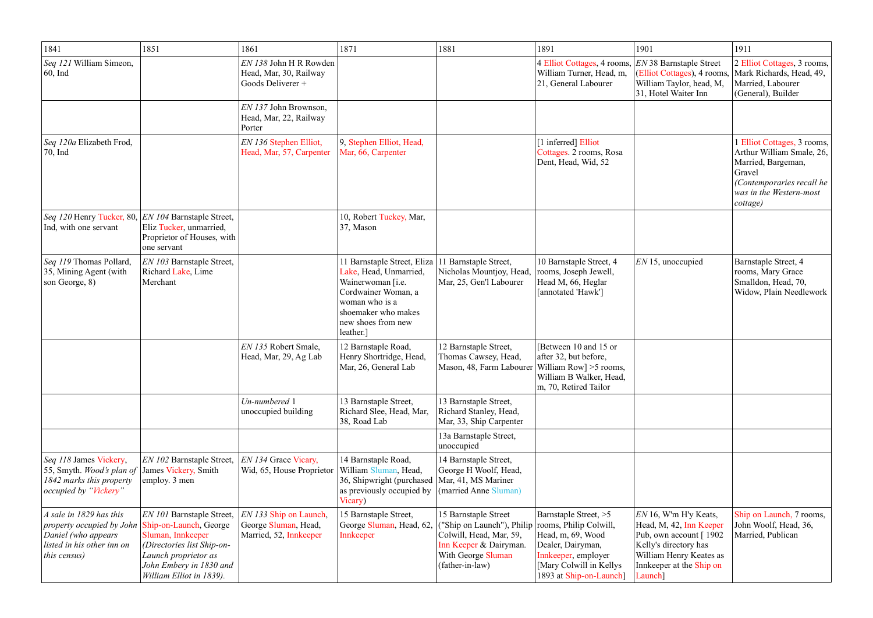| 1841                                                                                                                                | 1851                                                                                                                                                                                  | 1861                                                                     | 1871                                                                                                                                                                          | 1881                                                                                                                                                                    | 1891                                                                                                                                          | 1901                                                                                                                                                                     | 1911                                                                                                                                                         |
|-------------------------------------------------------------------------------------------------------------------------------------|---------------------------------------------------------------------------------------------------------------------------------------------------------------------------------------|--------------------------------------------------------------------------|-------------------------------------------------------------------------------------------------------------------------------------------------------------------------------|-------------------------------------------------------------------------------------------------------------------------------------------------------------------------|-----------------------------------------------------------------------------------------------------------------------------------------------|--------------------------------------------------------------------------------------------------------------------------------------------------------------------------|--------------------------------------------------------------------------------------------------------------------------------------------------------------|
| Seq 121 William Simeon,<br>$ 60, \text{Ind}$                                                                                        |                                                                                                                                                                                       | EN 138 John H R Rowden<br>Head, Mar, 30, Railway<br>Goods Deliverer +    |                                                                                                                                                                               |                                                                                                                                                                         | 4 Elliot Cottages, 4 rooms,<br>William Turner, Head, m,<br>21, General Labourer                                                               | <b>EN 38 Barnstaple Street</b><br>(Elliot Cottages), 4 rooms,<br>William Taylor, head, M,<br>31, Hotel Waiter Inn                                                        | 2 Elliot Cottages, 3 rooms,<br>Mark Richards, Head, 49,<br>Married, Labourer<br>(General), Builder                                                           |
|                                                                                                                                     |                                                                                                                                                                                       | EN 137 John Brownson,<br>Head, Mar, 22, Railway<br>Porter                |                                                                                                                                                                               |                                                                                                                                                                         |                                                                                                                                               |                                                                                                                                                                          |                                                                                                                                                              |
| Seq 120a Elizabeth Frod,<br>$\vert$ 70, Ind                                                                                         |                                                                                                                                                                                       | EN 136 Stephen Elliot,<br>Head, Mar, 57, Carpenter                       | 9, Stephen Elliot, Head,<br>Mar, 66, Carpenter                                                                                                                                |                                                                                                                                                                         | [1 inferred] Elliot<br>Cottages. 2 rooms, Rosa<br>Dent, Head, Wid, 52                                                                         |                                                                                                                                                                          | 1 Elliot Cottages, 3 rooms,<br>Arthur William Smale, 26,<br>Married, Bargeman,<br>Gravel<br>(Contemporaries recall he<br>was in the Western-most<br>cottage) |
| Seq 120 Henry Tucker, 80, <i>EN 104</i> Barnstaple Street,<br>Ind, with one servant                                                 | Eliz Tucker, unmarried,<br>Proprietor of Houses, with<br>one servant                                                                                                                  |                                                                          | 10, Robert Tuckey, Mar,<br>37, Mason                                                                                                                                          |                                                                                                                                                                         |                                                                                                                                               |                                                                                                                                                                          |                                                                                                                                                              |
| Seq 119 Thomas Pollard,<br>35, Mining Agent (with<br>son George, $8)$                                                               | EN 103 Barnstaple Street,<br>Richard Lake, Lime<br>Merchant                                                                                                                           |                                                                          | 11 Barnstaple Street, Eliza<br>Lake, Head, Unmarried,<br>Wainerwoman [i.e.<br>Cordwainer Woman, a<br>woman who is a<br>shoemaker who makes<br>new shoes from new<br>leather.] | 11 Barnstaple Street,<br>Nicholas Mountjoy, Head,<br>Mar, 25, Gen'l Labourer                                                                                            | 10 Barnstaple Street, 4<br>rooms, Joseph Jewell,<br>Head M, 66, Heglar<br>[annotated 'Hawk']                                                  | $EN$ 15, unoccupied                                                                                                                                                      | Barnstaple Street, 4<br>rooms, Mary Grace<br>Smalldon, Head, 70,<br>Widow, Plain Needlework                                                                  |
|                                                                                                                                     |                                                                                                                                                                                       | EN 135 Robert Smale,<br>Head, Mar, 29, Ag Lab                            | 12 Barnstaple Road,<br>Henry Shortridge, Head,<br>Mar, 26, General Lab                                                                                                        | 12 Barnstaple Street,<br>Thomas Cawsey, Head,<br>Mason, 48, Farm Labourer   William Row   > 5 rooms,                                                                    | [Between 10 and 15 or<br>after 32, but before,<br>William B Walker, Head,<br>m, 70, Retired Tailor                                            |                                                                                                                                                                          |                                                                                                                                                              |
|                                                                                                                                     |                                                                                                                                                                                       | Un-numbered 1<br>unoccupied building                                     | 13 Barnstaple Street,<br>Richard Slee, Head, Mar,<br>38, Road Lab                                                                                                             | 13 Barnstaple Street,<br>Richard Stanley, Head,<br>Mar, 33, Ship Carpenter                                                                                              |                                                                                                                                               |                                                                                                                                                                          |                                                                                                                                                              |
|                                                                                                                                     |                                                                                                                                                                                       |                                                                          |                                                                                                                                                                               | 13a Barnstaple Street,<br>unoccupied                                                                                                                                    |                                                                                                                                               |                                                                                                                                                                          |                                                                                                                                                              |
| Seq 118 James Vickery,<br>55, Smyth. <i>Wood's plan of</i><br>1842 marks this property<br> occupied by "Vickery"                    | EN 102 Barnstaple Street,<br>James Vickery, Smith<br>employ. 3 men                                                                                                                    | EN 134 Grace Vicary,<br>Wid, 65, House Proprietor                        | 14 Barnstaple Road,<br>William Sluman, Head,<br>36, Shipwright (purchased<br>as previously occupied by<br>Vicary)                                                             | 14 Barnstaple Street,<br>George H Woolf, Head,<br>Mar, 41, MS Mariner<br>(married Anne Sluman)                                                                          |                                                                                                                                               |                                                                                                                                                                          |                                                                                                                                                              |
| A sale in $1829$ has this<br>property occupied by John<br>Daniel (who appears<br>listed in his other inn on<br><i>this census</i> ) | EN 101 Barnstaple Street,<br>Ship-on-Launch, George<br>Sluman, Innkeeper<br>(Directories list Ship-on-<br>Launch proprietor as<br>John Embery in 1830 and<br>William Elliot in 1839). | EN 133 Ship on Launch,<br>George Sluman, Head,<br>Married, 52, Innkeeper | 15 Barnstaple Street,<br>George Sluman, Head, 62,<br>Innkeeper                                                                                                                | 15 Barnstaple Street<br>("Ship on Launch"), Philip rooms, Philip Colwill,<br>Colwill, Head, Mar, 59,<br>Inn Keeper & Dairyman.<br>With George Sluman<br>(father-in-law) | Barnstaple Street, >5<br>Head, m, 69, Wood<br>Dealer, Dairyman,<br>Innkeeper, employer<br>[Mary Colwill in Kellys]<br>1893 at Ship-on-Launch] | $EN16$ , W'm H'y Keats,<br>Head, M, 42, Inn Keeper<br>Pub, own account [1902]<br>Kelly's directory has<br>William Henry Keates as<br>Innkeeper at the Ship on<br>Launch] | Ship on Launch, 7 rooms,<br>John Woolf, Head, 36,<br>Married, Publican                                                                                       |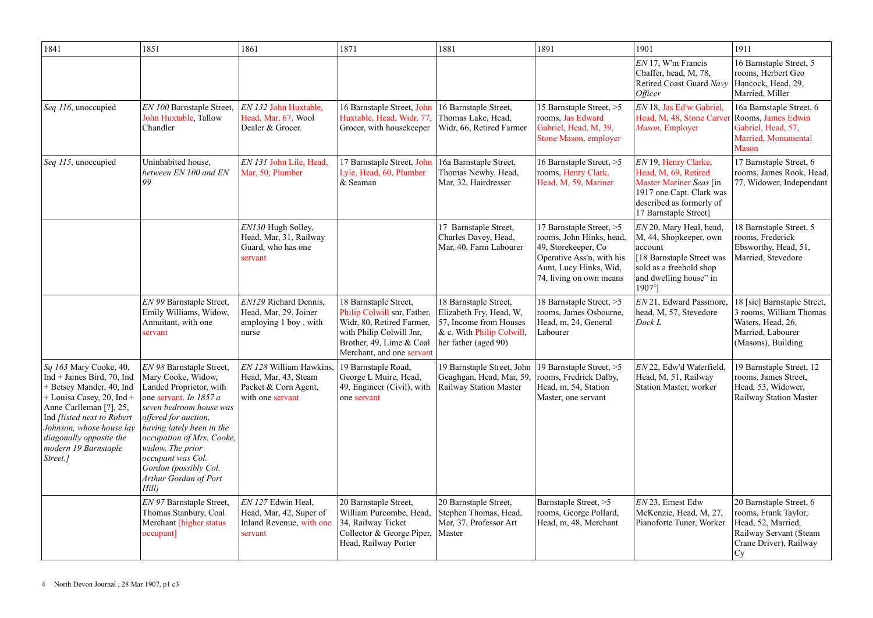| 1841                                                                                                                                                                                                                                                                                                             | 1851                                                                                                                                                                                                                                                                                                                 | 1861                                                                                                                   | 1871                                                                                                                                                                   | 1881                                                                                                                                 | 1891                                                                                                                                                          | 1901                                                                                                                                                        | 1911                                                                                                                            |
|------------------------------------------------------------------------------------------------------------------------------------------------------------------------------------------------------------------------------------------------------------------------------------------------------------------|----------------------------------------------------------------------------------------------------------------------------------------------------------------------------------------------------------------------------------------------------------------------------------------------------------------------|------------------------------------------------------------------------------------------------------------------------|------------------------------------------------------------------------------------------------------------------------------------------------------------------------|--------------------------------------------------------------------------------------------------------------------------------------|---------------------------------------------------------------------------------------------------------------------------------------------------------------|-------------------------------------------------------------------------------------------------------------------------------------------------------------|---------------------------------------------------------------------------------------------------------------------------------|
|                                                                                                                                                                                                                                                                                                                  |                                                                                                                                                                                                                                                                                                                      |                                                                                                                        |                                                                                                                                                                        |                                                                                                                                      |                                                                                                                                                               | $EN$ 17, W'm Francis<br>Chaffer, head, M, 78,<br>Retired Coast Guard Navy<br><i><b>Officer</b></i>                                                          | 16 Barnstaple Street, 5<br>rooms, Herbert Geo<br>Hancock, Head, 29,<br>Married, Miller                                          |
| Seq 116, unoccupied                                                                                                                                                                                                                                                                                              | EN 100 Barnstaple Street,<br>John Huxtable, Tallow<br>Chandler                                                                                                                                                                                                                                                       | EN 132 John Huxtable,<br>Head, Mar, 67, Wool<br>Dealer & Grocer.                                                       | 16 Barnstaple Street, John<br>Huxtable, Head, Widr, 77,<br>Grocer, with housekeeper                                                                                    | 16 Barnstaple Street,<br>Thomas Lake, Head,<br>Widr, 66, Retired Farmer                                                              | 15 Barnstaple Street, >5<br>rooms, Jas Edward<br>Gabriel, Head, M, 39,<br>Stone Mason, employer                                                               | EN 18, Jas Ed'w Gabriel,<br>Head, M, 48, Stone Carvel<br>Mason, Employer                                                                                    | 16a Barnstaple Street, 6<br>Rooms, James Edwin<br>Gabriel, Head, 57,<br>Married, Monumental<br><b>Mason</b>                     |
| Seq 115, unoccupied                                                                                                                                                                                                                                                                                              | Uninhabited house,<br>between EN 100 and EN<br>99                                                                                                                                                                                                                                                                    | EN 131 John Lile, Head,<br>Mar, 50, Plumber                                                                            | 17 Barnstaple Street, John<br>Lyle, Head, 60, Plumber<br>& Seaman                                                                                                      | 16a Barnstaple Street,<br>Thomas Newby, Head,<br>Mar, 32, Hairdresser                                                                | 16 Barnstaple Street, >5<br>rooms, Henry Clark,<br>Head, M, 59, Mariner                                                                                       | EN 19, Henry Clarke,<br>Head, M, 69, Retired<br>Master Mariner Seas [in<br>1917 one Capt. Clark was<br>described as formerly of<br>17 Barnstaple Street]    | 17 Barnstaple Street, 6<br>rooms, James Rook, Head,<br>77, Widower, Independant                                                 |
|                                                                                                                                                                                                                                                                                                                  |                                                                                                                                                                                                                                                                                                                      | EN130 Hugh Solley,<br>Head, Mar, 31, Railway<br>Guard, who has one<br>servant                                          |                                                                                                                                                                        | 17 Barnstaple Street,<br>Charles Davey, Head,<br>Mar, 40, Farm Labourer                                                              | 17 Barnstaple Street, >5<br>rooms, John Hinks, head,<br>49, Storekeeper, Co<br>Operative Ass'n, with his<br>Aunt, Lucy Hinks, Wid,<br>74, living on own means | EN 20, Mary Heal, head,<br>M, 44, Shopkeeper, own<br>account<br>[18 Barnstaple Street was<br>sold as a freehold shop<br>and dwelling house" in<br>$19074$ ] | 18 Barnstaple Street, 5<br>rooms, Frederick<br>Ebsworthy, Head, 51,<br>Married, Stevedore                                       |
|                                                                                                                                                                                                                                                                                                                  | EN 99 Barnstaple Street,<br>Emily Williams, Widow,<br>Annuitant, with one<br>servant                                                                                                                                                                                                                                 | EN129 Richard Dennis,<br>Head, Mar, 29, Joiner<br>employing 1 boy, with<br>nurse                                       | 18 Barnstaple Street,<br>Philip Colwill snr, Father,<br>Widr, 80, Retired Farmer,<br>with Philip Colwill Jnr,<br>Brother, 49, Lime & Coal<br>Merchant, and one servant | 18 Barnstaple Street,<br>Elizabeth Fry, Head, W,<br>57, Income from Houses<br>& c. With Philip Colwill,<br>her father (aged 90)      | 18 Barnstaple Street, >5<br>rooms, James Osbourne,<br>Head, m, 24, General<br>Labourer                                                                        | EN 21, Edward Passmore.<br>head, M, 57, Stevedore<br>Dock L                                                                                                 | 18 [sic] Barnstaple Street,<br>3 rooms, William Thomas<br>Waters, Head, 26,<br>Married, Labourer<br>(Masons), Building          |
| $\left  \mathcal{S}q \right $ 163 Mary Cooke, 40,<br>$Ind + James Bird, 70, Ind$<br>+ Betsey Mander, 40, Ind<br>$+$ Louisa Casey, 20, Ind $+$<br>Anne Carlleman [?], 25,<br>Ind <i>flisted next to Robert</i><br>Johnson, whose house lay<br>$\vert$ diagonally opposite the<br>modern 19 Barnstaple<br>Street.] | EN 98 Barnstaple Street,<br>Mary Cooke, Widow,<br>Landed Proprietor, with<br>one servant. In 1857 a<br>seven bedroom house was<br>offered for auction,<br>having lately been in the<br>occupation of Mrs. Cooke,<br>widow. The prior<br>occupant was Col.<br>Gordon (possibly Col.<br>Arthur Gordan of Port<br>Hill) | <i>EN 128</i> William Hawkins, 19 Barnstaple Road,<br>Head, Mar, 43, Steam<br>Packet & Corn Agent,<br>with one servant | George L Muire, Head,<br>49, Engineer (Civil), with<br>one servant                                                                                                     | 19 Barnstaple Street, John   19 Barnstaple Street, >5<br>Geaghgan, Head, Mar, 59,   rooms, Fredrick Dalby,<br>Railway Station Master | Head, m, 54, Station<br>Master, one servant                                                                                                                   | EN 22, Edw'd Waterfield,<br>Head, M, 51, Railway<br>Station Master, worker                                                                                  | 19 Barnstaple Street, 12<br>rooms, James Street,<br>Head, 53, Widower,<br><b>Railway Station Master</b>                         |
|                                                                                                                                                                                                                                                                                                                  | EN 97 Barnstaple Street,<br>Thomas Stanbury, Coal<br>Merchant [higher status]<br>occupant]                                                                                                                                                                                                                           | EN 127 Edwin Heal,<br>Head, Mar, 42, Super of<br>Inland Revenue, with one<br>servant                                   | 20 Barnstaple Street,<br>William Purcombe, Head,<br>34, Railway Ticket<br>Collector & George Piper,<br>Head, Railway Porter                                            | 20 Barnstaple Street,<br>Stephen Thomas, Head,<br>Mar, 37, Professor Art<br>Master                                                   | Barnstaple Street, >5<br>rooms, George Pollard,<br>Head, m, 48, Merchant                                                                                      | $EN$ 23, Ernest Edw<br>McKenzie, Head, M, 27,<br>Pianoforte Tuner, Worker                                                                                   | 20 Barnstaple Street, 6<br>rooms, Frank Taylor,<br>Head, 52, Married,<br>Railway Servant (Steam<br>Crane Driver), Railway<br>Cy |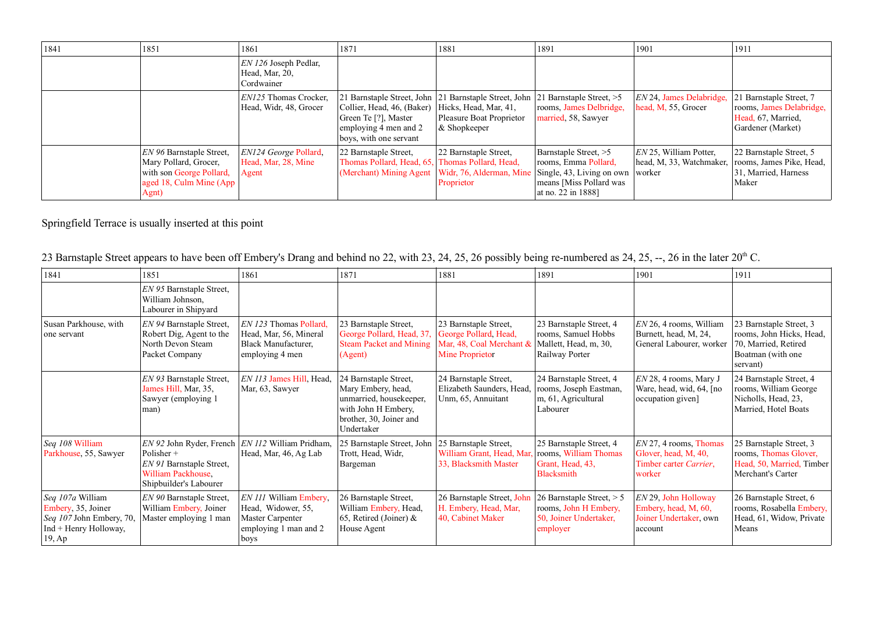| 1841 | 1851                                                                                                                      | 1861                                                               | 1871                                                                                                  | 1881                                                                                                                                                | 1891                                                                                                                                        | 1901                                                                    | 1911                                                                                 |
|------|---------------------------------------------------------------------------------------------------------------------------|--------------------------------------------------------------------|-------------------------------------------------------------------------------------------------------|-----------------------------------------------------------------------------------------------------------------------------------------------------|---------------------------------------------------------------------------------------------------------------------------------------------|-------------------------------------------------------------------------|--------------------------------------------------------------------------------------|
|      |                                                                                                                           | $ EN\,126\,{\rm Joseph}\,$ Pedlar,<br>Head, Mar, 20,<br>Cordwainer |                                                                                                       |                                                                                                                                                     |                                                                                                                                             |                                                                         |                                                                                      |
|      |                                                                                                                           | <i>EN125</i> Thomas Crocker,<br>Head, Widr, 48, Grocer             | Collier, Head, 46, (Baker)<br>Green Te [?], Master<br>employing 4 men and 2<br>boys, with one servant | 21 Barnstaple Street, John 21 Barnstaple Street, John 21 Barnstaple Street, >5<br>Hicks, Head, Mar, 41,<br>Pleasure Boat Proprietor<br>& Shopkeeper | rooms, James Delbridge,<br>married, 58, Sawyer                                                                                              | EN 24, James Delabridge, 21 Barnstaple Street, 7<br>head, M, 55, Grocer | rooms, James Delabridge,<br>Head, 67, Married,<br>Gardener (Market)                  |
|      | <i>EN</i> 96 Barnstaple Street,<br>Mary Pollard, Grocer,<br>with son George Pollard,<br>aged 18, Culm Mine (App)<br>Agnt) | <i>EN124 George Pollard,</i><br>Head, Mar, 28, Mine<br>Agent       | 22 Barnstaple Street,<br>Thomas Pollard, Head, 65, Thomas Pollard, Head,<br>(Merchant) Mining Agent   | 22 Barnstaple Street,<br>Widr, 76, Alderman, Mine<br>Proprietor                                                                                     | Barnstaple Street, >5<br>rooms, Emma Pollard,<br>$\vert$ Single, 43, Living on own $\vert$<br>means [Miss Pollard was<br>at no. 22 in 1888] | EN 25, William Potter,<br>head, M, 33, Watchmaker,<br>  worker          | 22 Barnstaple Street, 5<br>rooms, James Pike, Head,<br>31, Married, Harness<br>Maker |

Springfield Terrace is usually inserted at this point

|  |  | 23 Barnstaple Street appears to have been off Embery's Drang and behind no 22, with 23, 24, 25, 26 possibly being re-numbered as 24, 25, --, 26 in the later 20 <sup>th</sup> C. |
|--|--|----------------------------------------------------------------------------------------------------------------------------------------------------------------------------------|
|--|--|----------------------------------------------------------------------------------------------------------------------------------------------------------------------------------|

| 1841                                                                                                    | 1851                                                                                        | 1861                                                                                                                | 1871                                                                                                                                   | 1881                                                                                              | 1891                                                                                       | 1901                                                                                 | 1911                                                                                                         |
|---------------------------------------------------------------------------------------------------------|---------------------------------------------------------------------------------------------|---------------------------------------------------------------------------------------------------------------------|----------------------------------------------------------------------------------------------------------------------------------------|---------------------------------------------------------------------------------------------------|--------------------------------------------------------------------------------------------|--------------------------------------------------------------------------------------|--------------------------------------------------------------------------------------------------------------|
|                                                                                                         | EN 95 Barnstaple Street,<br>William Johnson,<br>Labourer in Shipyard                        |                                                                                                                     |                                                                                                                                        |                                                                                                   |                                                                                            |                                                                                      |                                                                                                              |
| Susan Parkhouse, with<br>one servant                                                                    | EN 94 Barnstaple Street,<br>Robert Dig, Agent to the<br>North Devon Steam<br>Packet Company | <i>EN 123</i> Thomas Pollard,<br>Head, Mar, 56, Mineral<br>Black Manufacturer,<br>employing 4 men                   | 23 Barnstaple Street,<br>George Pollard, Head, 37,<br><b>Steam Packet and Mining</b><br>(Agent)                                        | 23 Barnstaple Street,<br>George Pollard, Head,<br>Mar, 48, Coal Merchant &<br>Mine Proprietor     | 23 Barnstaple Street, 4<br>rooms, Samuel Hobbs<br>Mallett, Head, m, 30,<br>Railway Porter  | $EN$ 26, 4 rooms, William<br>Burnett, head, M, 24,<br>General Labourer, worker       | 23 Barnstaple Street, 3<br>rooms, John Hicks, Head,<br>70, Married, Retired<br>Boatman (with one<br>servant) |
|                                                                                                         | EN 93 Barnstaple Street,<br>James Hill, Mar, 35,<br>Sawyer (employing 1)<br>man)            | <i>EN 113 James Hill, Head,</i><br>Mar, 63, Sawyer                                                                  | 24 Barnstaple Street,<br>Mary Embery, head,<br>unmarried, housekeeper,<br>with John H Embery,<br>brother, 30, Joiner and<br>Undertaker | 24 Barnstaple Street,<br>Elizabeth Saunders, Head,<br>Unm, 65, Annuitant                          | 24 Barnstaple Street, 4<br>rooms, Joseph Eastman,<br>m, 61, Agricultural<br>Labourer       | $EN$ 28, 4 rooms, Mary J<br>Ware, head, wid, 64, [no]<br>occupation given]           | 24 Barnstaple Street, 4<br>rooms, William George<br>Nicholls, Head, 23,<br>Married, Hotel Boats              |
| Seq 108 William<br>Parkhouse, 55, Sawyer                                                                | Polisher $+$<br>EN 91 Barnstaple Street,<br>William Packhouse,<br>Shipbuilder's Labourer    | EN 92 John Ryder, French   EN 112 William Pridham,<br>Head, Mar, 46, Ag Lab                                         | 25 Barnstaple Street, John<br>Trott, Head, Widr,<br>Bargeman                                                                           | 25 Barnstaple Street,<br>William Grant, Head, Mar, rooms, William Thomas<br>33, Blacksmith Master | 25 Barnstaple Street, 4<br>Grant, Head, 43,<br>Blacksmith                                  | $EN$ 27, 4 rooms, Thomas<br>Glover, head, M, 40,<br>Timber carter Carrier,<br>worker | 25 Barnstaple Street, 3<br>rooms, Thomas Glover,<br>Head, 50, Married, Timber<br><b>Merchant's Carter</b>    |
| Seq 107a William<br>Embery, 35, Joiner<br>Seq 107 John Embery, 70,<br>$Ind + Henry$ Holloway,<br>19, Ap | EN 90 Barnstaple Street,<br>William Embery, Joiner<br>Master employing 1 man                | <i>EN 111</i> William Embery,<br>Head, Widower, 55,<br><b>Master Carpenter</b><br>employing 1 man and 2<br>$\log s$ | 26 Barnstaple Street,<br>William Embery, Head,<br>65, Retired (Joiner) $\&$<br>House Agent                                             | 26 Barnstaple Street, John<br>H. Embery, Head, Mar,<br>40, Cabinet Maker                          | 26 Barnstaple Street, $> 5$<br>rooms, John H Embery,<br>50, Joiner Undertaker,<br>employer | EN 29, John Holloway<br>Embery, head, M, 60,<br>Joiner Undertaker, own<br>account    | 26 Barnstaple Street, 6<br>rooms, Rosabella Embery,<br>Head, 61, Widow, Private<br>Means                     |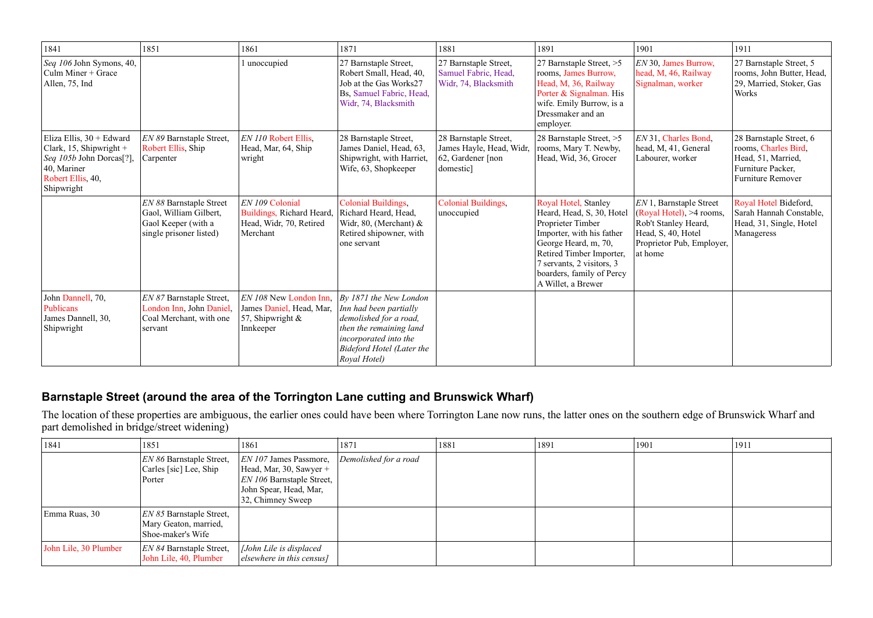| 1841                                                                                                                                           | 1851                                                                                                | 1861                                                                                   | 1871                                                                                                                                                                        | 1881                                                                                | 1891                                                                                                                                                                                                                                    | 1901                                                                                                                                      | 1911                                                                                                                   |
|------------------------------------------------------------------------------------------------------------------------------------------------|-----------------------------------------------------------------------------------------------------|----------------------------------------------------------------------------------------|-----------------------------------------------------------------------------------------------------------------------------------------------------------------------------|-------------------------------------------------------------------------------------|-----------------------------------------------------------------------------------------------------------------------------------------------------------------------------------------------------------------------------------------|-------------------------------------------------------------------------------------------------------------------------------------------|------------------------------------------------------------------------------------------------------------------------|
| Seq 106 John Symons, 40,<br>Culm Miner $+$ Grace<br>Allen, 75, Ind                                                                             |                                                                                                     | 1 unoccupied                                                                           | 27 Barnstaple Street,<br>Robert Small, Head, 40,<br>Job at the Gas Works27<br>Bs, Samuel Fabric, Head,<br>Widr, 74, Blacksmith                                              | 27 Barnstaple Street,<br>Samuel Fabric, Head,<br>Widr, 74, Blacksmith               | 27 Barnstaple Street, >5<br>rooms, James Burrow,<br>Head, M, 36, Railway<br>Porter & Signalman. His<br>wife. Emily Burrow, is a<br>Dressmaker and an<br>employer.                                                                       | EN 30, James Burrow,<br>head, M, 46, Railway<br>Signalman, worker                                                                         | 27 Barnstaple Street, 5<br>rooms, John Butter, Head,<br>29, Married, Stoker, Gas<br><b>Works</b>                       |
| Eliza Ellis, 30 + Edward<br>Clark, 15, Shipwright +<br>Seq 105b John Dorcas <sup>[?]</sup> ,<br>40, Mariner<br>Robert Ellis, 40,<br>Shipwright | EN 89 Barnstaple Street,<br>Robert Ellis, Ship<br>Carpenter                                         | EN 110 Robert Ellis,<br>Head, Mar, 64, Ship<br>wright                                  | 28 Barnstaple Street,<br>James Daniel, Head, 63,<br>Shipwright, with Harriet,<br>Wife, 63, Shopkeeper                                                                       | 28 Barnstaple Street,<br>James Hayle, Head, Widr,<br>62, Gardener [non<br>domestic] | 28 Barnstaple Street, >5<br>rooms, Mary T. Newby,<br>Head, Wid, 36, Grocer                                                                                                                                                              | EN 31, Charles Bond,<br>head, M, 41, General<br>Labourer, worker                                                                          | 28 Barnstaple Street, 6<br>rooms, Charles Bird,<br>Head, 51, Married,<br>Furniture Packer,<br><b>Furniture Remover</b> |
|                                                                                                                                                | EN 88 Barnstaple Street<br>Gaol, William Gilbert,<br>Gaol Keeper (with a<br>single prisoner listed) | EN 109 Colonial<br>Buildings, Richard Heard,<br>Head, Widr, 70, Retired<br>Merchant    | Colonial Buildings,<br>Richard Heard, Head,<br>Widr, 80, (Merchant) &<br>Retired shipowner, with<br>one servant                                                             | Colonial Buildings,<br>unoccupied                                                   | Royal Hotel, Stanley<br>Heard, Head, S, 30, Hotel<br>Proprieter Timber<br>Importer, with his father<br>George Heard, m, 70,<br>Retired Timber Importer,<br>7 servants, 2 visitors, 3<br>boarders, family of Percy<br>A Willet, a Brewer | EN 1, Barnstaple Street<br>(Royal Hotel), >4 rooms,<br>Rob't Stanley Heard,<br>Head, S, 40, Hotel<br>Proprietor Pub, Employer,<br>at home | Royal Hotel Bideford,<br>Sarah Hannah Constable,<br>Head, 31, Single, Hotel<br>Manageress                              |
| John Dannell, 70,<br>Publicans<br>James Dannell, 30,<br>Shipwright                                                                             | EN 87 Barnstaple Street,<br>London Inn, John Daniel,<br>Coal Merchant, with one<br>servant          | EN 108 New London Inn,<br>James Daniel, Head, Mar,<br>57, Shipwright $\&$<br>Innkeeper | By 1871 the New London<br>Inn had been partially<br>demolished for a road,<br>then the remaining land<br>incorporated into the<br>Bideford Hotel (Later the<br>Royal Hotel) |                                                                                     |                                                                                                                                                                                                                                         |                                                                                                                                           |                                                                                                                        |

# **Barnstaple Street (around the area of the Torrington Lane cutting and Brunswick Wharf)**

The location of these properties are ambiguous, the earlier ones could have been where Torrington Lane now runs, the latter ones on the southern edge of Brunswick Wharf and part demolished in bridge/street widening)

| 1841                  | 1851                                                                          | 1861                                                                                                                                       | 1871                  | 1881 | 1891 | 1901 | 1911 |
|-----------------------|-------------------------------------------------------------------------------|--------------------------------------------------------------------------------------------------------------------------------------------|-----------------------|------|------|------|------|
|                       | EN 86 Barnstaple Street,<br>Carles [sic] Lee, Ship<br>Porter                  | $ EN\,107\,$ James Passmore,<br>Head, Mar, 30, Sawyer +<br><i>EN 106</i> Barnstaple Street,<br>John Spear, Head, Mar,<br>32, Chimney Sweep | Demolished for a road |      |      |      |      |
| Emma Ruas, 30         | <i>EN 85</i> Barnstaple Street,<br>Mary Geaton, married,<br>Shoe-maker's Wife |                                                                                                                                            |                       |      |      |      |      |
| John Lile, 30 Plumber | <i>EN 84</i> Barnstaple Street,<br>John Lile, 40, Plumber                     | $ $ [John Lile is displaced<br>$\vert$ elsewhere in this census]                                                                           |                       |      |      |      |      |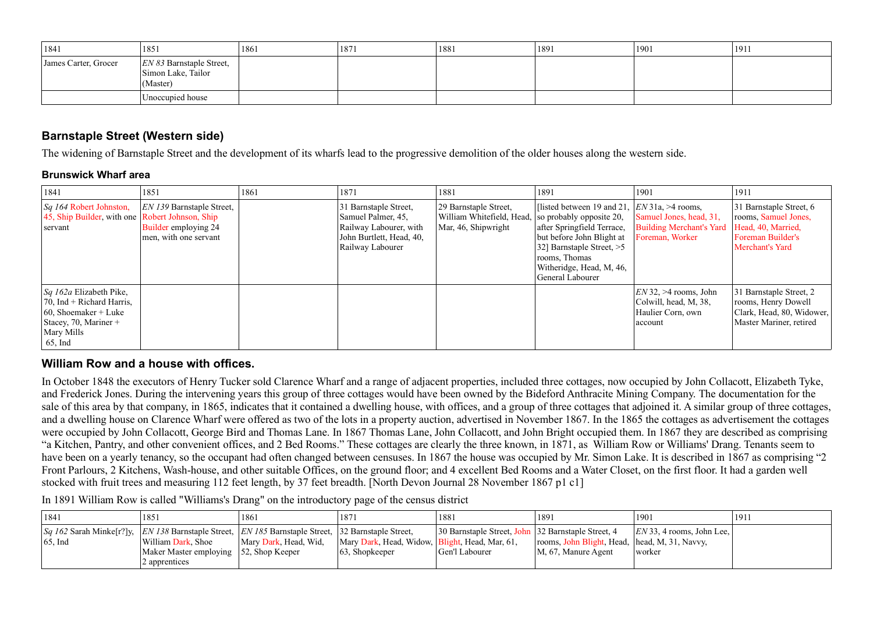| 1841                 | 1851                                                          | 1861 | 1871 | 1881 | 1891 | 1901 | 1911 |
|----------------------|---------------------------------------------------------------|------|------|------|------|------|------|
| James Carter, Grocer | $ EN 83$ Barnstaple Street,<br>Simon Lake, Tailor<br>(Master) |      |      |      |      |      |      |
|                      | Unoccupied house                                              |      |      |      |      |      |      |

## **Barnstaple Street (Western side)**

The widening of Barnstaple Street and the development of its wharfs lead to the progressive demolition of the older houses along the western side.

## **Brunswick Wharf area**

| 1841                                                                                                                                                       | 1851                                                                                    | 1861 | 1871                                                                                                                  | 1881                                                                                                | 1891                                                                                                                                                                                                       | 1901                                                                             | 1911                                                                                                             |
|------------------------------------------------------------------------------------------------------------------------------------------------------------|-----------------------------------------------------------------------------------------|------|-----------------------------------------------------------------------------------------------------------------------|-----------------------------------------------------------------------------------------------------|------------------------------------------------------------------------------------------------------------------------------------------------------------------------------------------------------------|----------------------------------------------------------------------------------|------------------------------------------------------------------------------------------------------------------|
| $\left  \mathcal{S}q \right $ 164 Robert Johnston,<br>$ 45$ , Ship Builder, with one Robert Johnson, Ship<br>servant                                       | $ EN\,139\,$ Barnstaple Street,<br><b>Builder employing 24</b><br>men, with one servant |      | 31 Barnstaple Street,<br>Samuel Palmer, 45,<br>Railway Labourer, with<br>John Burtlett, Head, 40,<br>Railway Labourer | 29 Barnstaple Street,<br>William Whitefield, Head,  so probably opposite 20,<br>Mar, 46, Shipwright | [listed between 19 and 21, $ EN31a  > 4$ rooms,<br>after Springfield Terrace,<br>but before John Blight at<br>32] Barnstaple Street, $>5$<br>rooms, Thomas<br>Witheridge, Head, M, 46,<br>General Labourer | Samuel Jones, head, 31,<br><b>Building Merchant's Yard</b><br>Foreman, Worker    | $ 31$ Barnstaple Street, 6<br>rooms, Samuel Jones,<br>Head, 40, Married,<br>Foreman Builder's<br>Merchant's Yard |
| <i>Sq 162a</i> Elizabeth Pike,<br>$\sqrt{70}$ , Ind + Richard Harris,<br>$\vert$ 60, Shoemaker + Luke<br>Stacey, 70, Mariner +<br>Mary Mills<br>$65$ , Ind |                                                                                         |      |                                                                                                                       |                                                                                                     |                                                                                                                                                                                                            | $EN$ 32, >4 rooms, John<br>Colwill, head, M, 38,<br>Haulier Corn, own<br>account | 31 Barnstaple Street, 2<br>rooms, Henry Dowell<br>Clark, Head, 80, Widower,<br>Master Mariner, retired           |

## **William Row and a house with offices.**

In October 1848 the executors of Henry Tucker sold Clarence Wharf and a range of adjacent properties, included three cottages, now occupied by John Collacott, Elizabeth Tyke, and Frederick Jones. During the intervening years this group of three cottages would have been owned by the Bideford Anthracite Mining Company. The documentation for the sale of this area by that company, in 1865, indicates that it contained a dwelling house, with offices, and a group of three cottages that adjoined it. A similar group of three cottages, and a dwelling house on Clarence Wharf were offered as two of the lots in a property auction, advertised in November 1867. In the 1865 the cottages as advertisement the cottages were occupied by John Collacott, George Bird and Thomas Lane. In 1867 Thomas Lane, John Collacott, and John Bright occupied them. In 1867 they are described as comprising "a Kitchen, Pantry, and other convenient offices, and 2 Bed Rooms." These cottages are clearly the three known, in 1871, as William Row or Williams' Drang. Tenants seem to have been on a yearly tenancy, so the occupant had often changed between censuses. In 1867 the house was occupied by Mr. Simon Lake. It is described in 1867 as comprising "2 Front Parlours, 2 Kitchens, Wash-house, and other suitable Offices, on the ground floor; and 4 excellent Bed Rooms and a Water Closet, on the first floor. It had a garden well stocked with fruit trees and measuring 112 feet length, by 37 feet breadth. [North Devon Journal 28 November 1867 p1 c1]

In 1891 William Row is called "Williams's Drang" on the introductory page of the census district

| 1841                                                                                                                                           | 1851                                                    | 1861                  | 1871                                             | 1881                                               | 1891                                            | 1901                        | 1911 |
|------------------------------------------------------------------------------------------------------------------------------------------------|---------------------------------------------------------|-----------------------|--------------------------------------------------|----------------------------------------------------|-------------------------------------------------|-----------------------------|------|
| $ Sq $ 162 Sarah Minke[r?]y, $ EN $ 138 Barnstaple Street, $ EN $ 185 Barnstaple Street, 32 Barnstaple Street,<br>$\vert 65, \text{Ind} \vert$ | William Dark, Shoe                                      | Mary Dark, Head, Wid, | Mary Dark, Head, Widow,   Blight, Head, Mar, 61, | 30 Barnstaple Street, John 32 Barnstaple Street, 4 | rooms, John Blight, Head,   head, M, 31, Navvy, | $ EN33, 4$ rooms, John Lee, |      |
|                                                                                                                                                | Maker Master employing 52, Shop Keeper<br>2 apprentices |                       | $ 63,$ Shopkeeper                                | Gen'l Labourer                                     | $ M, 67$ , Manure Agent                         | worker                      |      |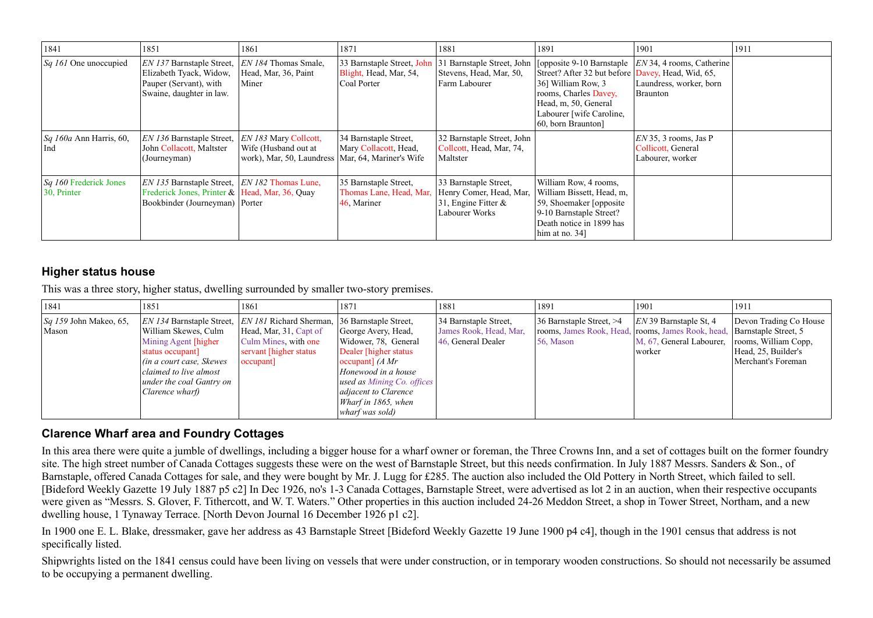| 1841                                             | 1851                                                                                                                                     | 1861                                                                                                        | 1871                                                                | 1881                                                                                      | 1891                                                                                                                                                                                | 1901                                                                                                                          | 1911 |
|--------------------------------------------------|------------------------------------------------------------------------------------------------------------------------------------------|-------------------------------------------------------------------------------------------------------------|---------------------------------------------------------------------|-------------------------------------------------------------------------------------------|-------------------------------------------------------------------------------------------------------------------------------------------------------------------------------------|-------------------------------------------------------------------------------------------------------------------------------|------|
| $\left  \mathcal{S}q \right $ 161 One unoccupied | EN 137 Barnstaple Street,<br>Elizabeth Tyack, Widow,<br>Pauper (Servant), with<br>Swaine, daughter in law.                               | <i>EN 184</i> Thomas Smale,<br>Head, Mar, 36, Paint<br>Miner                                                | 33 Barnstaple Street, John<br>Blight, Head, Mar, 54,<br>Coal Porter | Stevens, Head, Mar, 50,<br>Farm Labourer                                                  | Street? After 32 but before Davey, Head, Wid, 65,<br>36] William Row, 3<br>rooms, Charles Davey,<br>Head, m, 50, General<br>Labourer [wife Caroline,<br>$\vert 60$ , born Braunton] | 31 Barnstaple Street, John   [opposite 9-10 Barnstaple   $EN$ 34, 4 rooms, Catherine  <br>Laundress, worker, born<br>Braunton |      |
| $\vert Sq \vert$ 160a Ann Harris, 60,<br>Ind     | EN 136 Barnstaple Street,<br>John Collacott, Maltster<br>(Journeyman)                                                                    | <i>EN 183</i> Mary Collcott,<br>Wife (Husband out at<br>work), Mar, 50, Laundress   Mar, 64, Mariner's Wife | 34 Barnstaple Street,<br>Mary Collacott, Head,                      | 32 Barnstaple Street, John<br>Collcott, Head, Mar, 74,<br>Maltster                        |                                                                                                                                                                                     | $EN$ 35, 3 rooms, Jas P<br>Collicott, General<br>Labourer, worker                                                             |      |
| $Sq$ 160 Frederick Jones<br>$ 30,$ Printer       | EN 135 Barnstaple Street, <i>EN 182</i> Thomas Lune,<br>Frederick Jones, Printer & Head, Mar, 36, Quay<br>Bookbinder (Journeyman) Porter |                                                                                                             | 35 Barnstaple Street,<br>Thomas Lane, Head, Mar,<br>46, Mariner     | 33 Barnstaple Street,<br>Henry Comer, Head, Mar,<br>31, Engine Fitter &<br>Labourer Works | William Row, 4 rooms,<br>William Bissett, Head, m,<br>59, Shoemaker [opposite]<br>9-10 Barnstaple Street?<br>Death notice in 1899 has<br>him at no. $34$ ]                          |                                                                                                                               |      |

## **Higher status house**

This was a three story, higher status, dwelling surrounded by smaller two-story premises.

| 1841                                     | 1851                                                                                                                                                                                                              | 1861                                                                                                                                           | 1871                                                                                                                                                                                                                      | 1881                                                                  | 1891                                                                                                   | 1901                                                           | 1911                                                                                                                |
|------------------------------------------|-------------------------------------------------------------------------------------------------------------------------------------------------------------------------------------------------------------------|------------------------------------------------------------------------------------------------------------------------------------------------|---------------------------------------------------------------------------------------------------------------------------------------------------------------------------------------------------------------------------|-----------------------------------------------------------------------|--------------------------------------------------------------------------------------------------------|----------------------------------------------------------------|---------------------------------------------------------------------------------------------------------------------|
| $\sqrt{Sq}$ 159 John Makeo, 65,<br>Mason | <i>EN 134</i> Barnstaple Street,<br>William Skewes, Culm<br>Mining Agent [higher]<br>status occupant]<br>$\int$ (in a court case, Skewes<br>claimed to live almost<br>under the coal Gantry on<br>Clarence wharf) | <i>EN 181</i> Richard Sherman, 36 Barnstaple Street,<br>Head, Mar, 31, Capt of<br>Culm Mines, with one<br>servant [higher status]<br> occupant | George Avery, Head,<br>Widower, 78, General<br>Dealer [higher status]<br>occupant] $(A Mr)$<br>Honewood in a house<br>used as Mining Co. offices<br><i>adjacent to Clarence</i><br>Wharf in 1865, when<br>wharf was sold) | 34 Barnstaple Street,<br>James Rook, Head, Mar,<br>46, General Dealer | 36 Barnstaple Street, $>4$<br>rooms, James Rook, Head, rooms, James Rook, head,<br>$\sqrt{56}$ , Mason | $ EN39$ Barnstaple St, 4<br>M, 67, General Labourer,<br>worker | Devon Trading Co House<br>Barnstaple Street, 5<br>rooms, William Copp,<br>Head, 25, Builder's<br>Merchant's Foreman |

## **Clarence Wharf area and Foundry Cottages**

In this area there were quite a jumble of dwellings, including a bigger house for a wharf owner or foreman, the Three Crowns Inn, and a set of cottages built on the former foundrysite. The high street number of Canada Cottages suggests these were on the west of Barnstaple Street, but this needs confirmation. In July 1887 Messrs. Sanders & Son., of Barnstaple, offered Canada Cottages for sale, and they were bought by Mr. J. Lugg for £285. The auction also included the Old Pottery in North Street, which failed to sell. [Bideford Weekly Gazette 19 July 1887 p5 c2] In Dec 1926, no's 1-3 Canada Cottages, Barnstaple Street, were advertised as lot 2 in an auction, when their respective occupants were given as "Messrs. S. Glover, F. Tithercott, and W. T. Waters." Other properties in this auction included 24-26 Meddon Street, a shop in Tower Street, Northam, and a new dwelling house, 1 Tynaway Terrace. [North Devon Journal 16 December 1926 p1 c2].

In 1900 one E. L. Blake, dressmaker, gave her address as 43 Barnstaple Street [Bideford Weekly Gazette 19 June 1900 p4 c4], though in the 1901 census that address is not specifically listed.

Shipwrights listed on the 1841 census could have been living on vessels that were under construction, or in temporary wooden constructions. So should not necessarily be assumedto be occupying a permanent dwelling.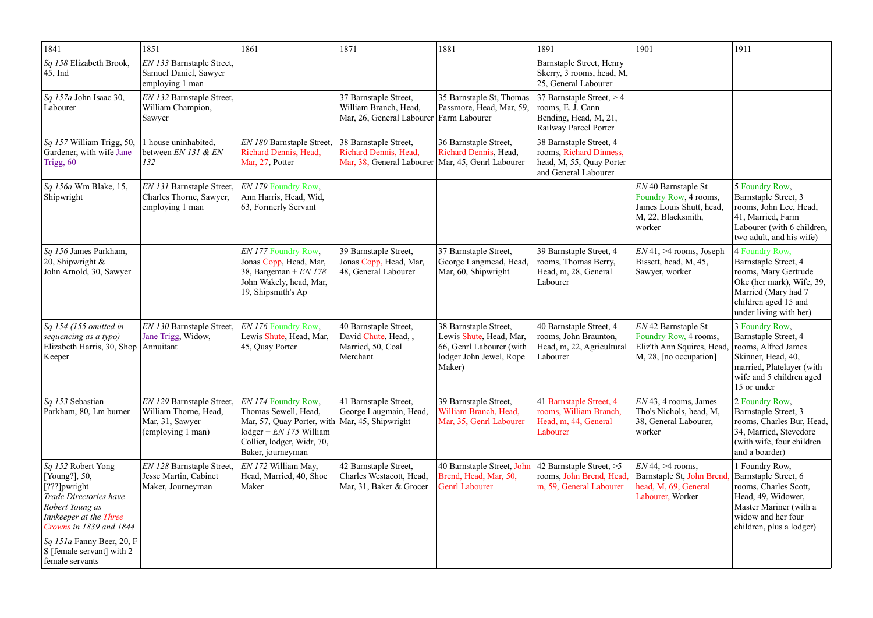| 1841                                                                                                                                                  | 1851                                                                                       | 1861                                                                                                                                                                                                                    | 1871                                                                                                  | 1881                                                                                                              | 1891                                                                                                   | 1901                                                                                                     | 1911                                                                                                                                                                 |
|-------------------------------------------------------------------------------------------------------------------------------------------------------|--------------------------------------------------------------------------------------------|-------------------------------------------------------------------------------------------------------------------------------------------------------------------------------------------------------------------------|-------------------------------------------------------------------------------------------------------|-------------------------------------------------------------------------------------------------------------------|--------------------------------------------------------------------------------------------------------|----------------------------------------------------------------------------------------------------------|----------------------------------------------------------------------------------------------------------------------------------------------------------------------|
| Sq 158 Elizabeth Brook,<br>$ 45, \text{Ind} $                                                                                                         | EN 133 Barnstaple Street,<br>Samuel Daniel, Sawyer<br>employing 1 man                      |                                                                                                                                                                                                                         |                                                                                                       |                                                                                                                   | Barnstaple Street, Henry<br>Skerry, 3 rooms, head, M,<br>25, General Labourer                          |                                                                                                          |                                                                                                                                                                      |
| Sq 157a John Isaac 30,<br>Labourer                                                                                                                    | EN 132 Barnstaple Street,<br>William Champion,<br>Sawyer                                   |                                                                                                                                                                                                                         | 37 Barnstaple Street,<br>William Branch, Head,<br>Mar, 26, General Labourer Farm Labourer             | 35 Barnstaple St, Thomas<br>Passmore, Head, Mar, 59,                                                              | 37 Barnstaple Street, $>4$<br>rooms, E. J. Cann<br>Bending, Head, M, 21,<br>Railway Parcel Porter      |                                                                                                          |                                                                                                                                                                      |
| Sq 157 William Trigg, 50,<br>Gardener, with wife Jane<br>Trigg, 60                                                                                    | house uninhabited,<br>between EN 131 & EN<br>132                                           | EN 180 Barnstaple Street,<br>Richard Dennis, Head,<br>Mar, 27, Potter                                                                                                                                                   | 38 Barnstaple Street,<br>Richard Dennis, Head,<br>Mar, 38, General Labourer   Mar, 45, Genrl Labourer | 36 Barnstaple Street,<br>Richard Dennis, Head,                                                                    | 38 Barnstaple Street, 4<br>rooms, Richard Dinness,<br>head, M, 55, Quay Porter<br>and General Labourer |                                                                                                          |                                                                                                                                                                      |
| <i>Sq 156a</i> Wm Blake, 15,<br>Shipwright                                                                                                            | EN 131 Barnstaple Street,<br>Charles Thorne, Sawyer,<br>employing 1 man                    | EN 179 Foundry Row,<br>Ann Harris, Head, Wid,<br>63, Formerly Servant                                                                                                                                                   |                                                                                                       |                                                                                                                   |                                                                                                        | EN 40 Barnstaple St<br>Foundry Row, 4 rooms,<br>James Louis Shutt, head,<br>M, 22, Blacksmith,<br>worker | 5 Foundry Row,<br>Barnstaple Street, 3<br>rooms, John Lee, Head,<br>41, Married, Farm<br>Labourer (with 6 children,<br>two adult, and his wife)                      |
| Sq 156 James Parkham,<br>$\vert$ 20, Shipwright &<br>John Arnold, 30, Sawyer                                                                          |                                                                                            | EN 177 Foundry Row,<br>Jonas Copp, Head, Mar,<br>38, Bargeman + $EN$ 178<br>John Wakely, head, Mar,<br>19, Shipsmith's Ap                                                                                               | 39 Barnstaple Street,<br>Jonas Copp, Head, Mar,<br>48, General Labourer                               | 37 Barnstaple Street,<br>George Langmead, Head,<br>Mar, 60, Shipwright                                            | 39 Barnstaple Street, 4<br>rooms, Thomas Berry,<br>Head, m, 28, General<br>Labourer                    | $EN41, >4$ rooms, Joseph<br>Bissett, head, M, 45,<br>Sawyer, worker                                      | 4 Foundry Row,<br>Barnstaple Street, 4<br>rooms, Mary Gertrude<br>Oke (her mark), Wife, 39,<br>Married (Mary had 7<br>children aged 15 and<br>under living with her) |
| $\big $ Sq 154 (155 omitted in<br>sequencing as a typo)<br>Elizabeth Harris, 30, Shop<br>Keeper                                                       | EN 130 Barnstaple Street,<br>Jane Trigg, Widow,<br>Annuitant                               | <i>EN 176</i> Foundry Row,<br>Lewis Shute, Head, Mar,<br>45, Quay Porter                                                                                                                                                | 40 Barnstaple Street,<br>David Chute, Head,,<br>Married, 50, Coal<br>Merchant                         | 38 Barnstaple Street,<br>Lewis Shute, Head, Mar,<br>66, Genrl Labourer (with<br>lodger John Jewel, Rope<br>Maker) | 40 Barnstaple Street, 4<br>rooms, John Braunton,<br>Head, m, 22, Agricultural<br>Labourer              | EN 42 Barnstaple St<br>Foundry Row, 4 rooms,<br>Eliz'th Ann Squires, Head,<br>M, 28, [no occupation]     | 3 Foundry Row,<br>Barnstaple Street, 4<br>rooms, Alfred James<br>Skinner, Head, 40,<br>married, Platelayer (with<br>wife and 5 children aged<br>15 or under          |
| Sq 153 Sebastian<br>Parkham, 80, Lm burner                                                                                                            | EN 129 Barnstaple Street,<br>William Thorne, Head,<br>Mar, 31, Sawyer<br>(employing 1 man) | <i>EN 174</i> Foundry Row,<br>Thomas Sewell, Head,<br>Mar, 57, Quay Porter, with   Mar, 45, Shipwright<br>$\text{loger} + EN \text{ } I \text{ } 75 \text{ William}$<br>Collier, lodger, Widr, 70,<br>Baker, journeyman | 41 Barnstaple Street,<br>George Laugmain, Head,                                                       | 39 Barnstaple Street,<br>William Branch, Head,<br>Mar, 35, Genrl Labourer                                         | 41 Barnstaple Street, 4<br>rooms, William Branch,<br>Head, m, 44, General<br>Labourer                  | $EN$ 43, 4 rooms, James<br>Tho's Nichols, head, M,<br>38, General Labourer,<br>worker                    | 2 Foundry Row,<br>Barnstaple Street, 3<br>rooms, Charles Bur, Head,<br>34, Married, Stevedore<br>(with wife, four children<br>and a boarder)                         |
| Sq 152 Robert Yong<br>[Young?], 50,<br>[???]pwright<br>Trade Directories have<br>Robert Young as<br>Innkeeper at the Three<br>Crowns in 1839 and 1844 | EN 128 Barnstaple Street,<br>Jesse Martin, Cabinet<br>Maker, Journeyman                    | EN 172 William May,<br>Head, Married, 40, Shoe<br>Maker                                                                                                                                                                 | 42 Barnstaple Street,<br>Charles Westacott, Head,<br>Mar, 31, Baker & Grocer                          | 40 Barnstaple Street, John<br>Brend, Head, Mar, 50,<br><b>Genrl Labourer</b>                                      | 42 Barnstaple Street, $>5$<br>rooms, John Brend, Head,<br>m, 59, General Labourer                      | $EN$ 44, >4 rooms,<br>Barnstaple St, John Brend<br>head, M, 69, General<br>Labourer, Worker              | 1 Foundry Row,<br>Barnstaple Street, 6<br>rooms, Charles Scott,<br>Head, 49, Widower,<br>Master Mariner (with a<br>widow and her four<br>children, plus a lodger)    |
| <i>Sq 151a</i> Fanny Beer, 20, F<br>S [female servant] with 2<br>female servants                                                                      |                                                                                            |                                                                                                                                                                                                                         |                                                                                                       |                                                                                                                   |                                                                                                        |                                                                                                          |                                                                                                                                                                      |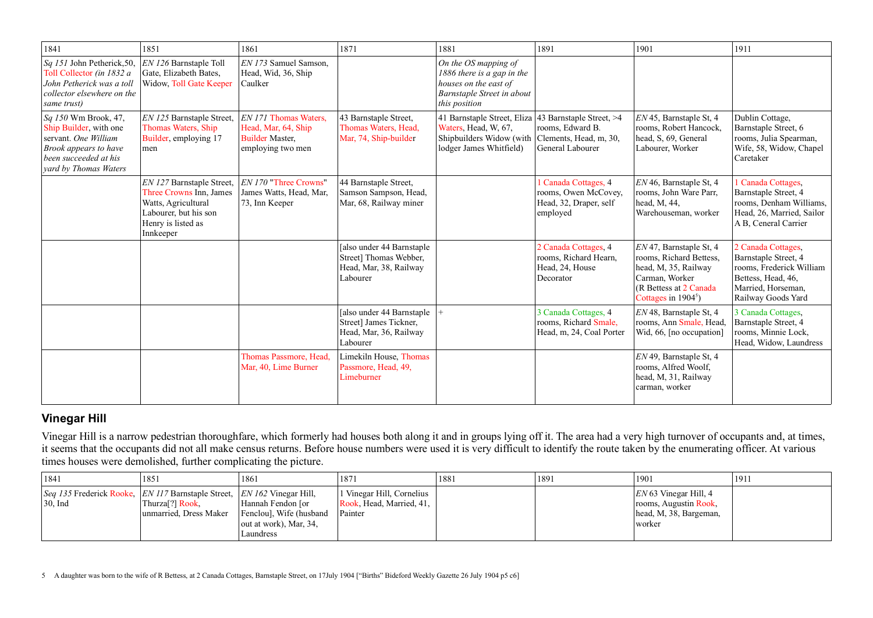| 1841                                                                                                                                              | 1851                                                                                                                                    | 1861                                                                                          | 1871                                                                                       | 1881                                                                                                                                                           | 1891                                                                               | 1901                                                                                                                                                | 1911                                                                                                                                     |
|---------------------------------------------------------------------------------------------------------------------------------------------------|-----------------------------------------------------------------------------------------------------------------------------------------|-----------------------------------------------------------------------------------------------|--------------------------------------------------------------------------------------------|----------------------------------------------------------------------------------------------------------------------------------------------------------------|------------------------------------------------------------------------------------|-----------------------------------------------------------------------------------------------------------------------------------------------------|------------------------------------------------------------------------------------------------------------------------------------------|
| Sq 151 John Petherick, 50,<br>Toll Collector (in 1832 a<br>John Petherick was a toll<br>collector elsewhere on the<br>same trust)                 | EN 126 Barnstaple Toll<br>Gate, Elizabeth Bates,<br>Widow, Toll Gate Keeper                                                             | EN 173 Samuel Samson,<br>Head, Wid, 36, Ship<br>Caulker                                       |                                                                                            | On the OS mapping of<br>1886 there is a gap in the<br>houses on the east of<br>Barnstaple Street in about<br>this position                                     |                                                                                    |                                                                                                                                                     |                                                                                                                                          |
| Sq 150 Wm Brook, 47,<br>Ship Builder, with one<br>servant. One William<br>Brook appears to have<br>been succeeded at his<br>yard by Thomas Waters | EN 125 Barnstaple Street,<br>Thomas Waters, Ship<br>Builder, employing 17<br>men                                                        | $ EN171$ Thomas Waters,<br>Head, Mar, 64, Ship<br><b>Builder Master,</b><br>employing two men | 43 Barnstaple Street,<br>Thomas Waters, Head,<br>Mar, 74, Ship-builder                     | 41 Barnstaple Street, Eliza 43 Barnstaple Street, >4<br>Waters, Head, W, 67,<br>Shipbuilders Widow (with $ $ Clements, Head, m, 30,<br>lodger James Whitfield) | rooms, Edward B.<br>General Labourer                                               | EN 45, Barnstaple St, 4<br>rooms, Robert Hancock,<br>head, S, 69, General<br>Labourer, Worker                                                       | Dublin Cottage,<br>Barnstaple Street, 6<br>rooms, Julia Spearman,<br>Wife, 58, Widow, Chapel<br>Caretaker                                |
|                                                                                                                                                   | EN 127 Barnstaple Street,<br>Three Crowns Inn, James<br>Watts, Agricultural<br>Labourer, but his son<br>Henry is listed as<br>Innkeeper | $ EN\,170\>$ "Three Crowns"<br>James Watts, Head, Mar,<br>73, Inn Keeper                      | 44 Barnstaple Street,<br>Samson Sampson, Head,<br>Mar, 68, Railway miner                   |                                                                                                                                                                | 1 Canada Cottages, 4<br>rooms, Owen McCovey,<br>Head, 32, Draper, self<br>employed | EN 46, Barnstaple St, 4<br>rooms, John Ware Parr,<br>head, M, 44,<br>Warehouseman, worker                                                           | 1 Canada Cottages,<br>Barnstaple Street, 4<br>rooms, Denham Williams,<br>Head, 26, Married, Sailor<br>A B, Ceneral Carrier               |
|                                                                                                                                                   |                                                                                                                                         |                                                                                               | [also under 44 Barnstaple]<br>Street] Thomas Webber,<br>Head, Mar, 38, Railway<br>Labourer |                                                                                                                                                                | 2 Canada Cottages, 4<br>rooms, Richard Hearn,<br>Head, 24, House<br>Decorator      | $EN$ 47, Barnstaple St, 4<br>rooms, Richard Bettess,<br>head, M, 35, Railway<br>Carman, Worker<br>(R Bettess at 2 Canada)<br>Cottages in $1904^5$ ) | 2 Canada Cottages,<br>Barnstaple Street, 4<br>rooms, Frederick William<br>Bettess, Head, 46,<br>Married, Horseman,<br>Railway Goods Yard |
|                                                                                                                                                   |                                                                                                                                         |                                                                                               | [also under 44 Barnstaple<br>Street] James Tickner,<br>Head, Mar, 36, Railway<br>Labourer  |                                                                                                                                                                | 3 Canada Cottages, 4<br>rooms, Richard Smale,<br>Head, m, 24, Coal Porter          | $EN$ 48, Barnstaple St, 4<br>rooms, Ann Smale, Head,<br>Wid, 66, [no occupation]                                                                    | 3 Canada Cottages,<br>Barnstaple Street, 4<br>rooms, Minnie Lock,<br>Head, Widow, Laundress                                              |
|                                                                                                                                                   |                                                                                                                                         | Thomas Passmore, Head,<br>Mar, 40, Lime Burner                                                | Limekiln House, Thomas<br>Passmore, Head, 49,<br>Limeburner                                |                                                                                                                                                                |                                                                                    | EN 49, Barnstaple St, 4<br>rooms, Alfred Woolf,<br>head, M, 31, Railway<br>carman, worker                                                           |                                                                                                                                          |

Vinegar Hill is a narrow pedestrian thoroughfare, which formerly had houses both along it and in groups lying off it. The area had a very high turnover of occupants and, at times,<br>it seems that the occupants did not all ma times houses were demolished, further complicating the picture.

## **Vinegar Hill**

| 1841                                                                                                       | 1851                                                  | 1861                                                                                   | 1871                                                             | 1881 | 1891 | 1901                                                                                  | 191 |
|------------------------------------------------------------------------------------------------------------|-------------------------------------------------------|----------------------------------------------------------------------------------------|------------------------------------------------------------------|------|------|---------------------------------------------------------------------------------------|-----|
| <i>Seq 135</i> Frederick Rooke, <i>EN 117</i> Barnstaple Street, <i>EN 162</i> Vinegar Hill,<br>$30$ , Ind | Thurza <sup>[?]</sup> Rook,<br>unmarried, Dress Maker | Hannah Fendon [or<br>Fenclou], Wife (husband<br>out at work), Mar, $34$ ,<br>Laundress | l Vinegar Hill, Cornelius<br>Rook, Head, Married, 41,<br>Painter |      |      | $ EN 63$ Vinegar Hill, 4<br>rooms, Augustin Rook,<br>head, M, 38, Bargeman,<br>worker |     |

<sup>5</sup> A daughter was born to the wife of R Bettess, at 2 Canada Cottages, Barnstaple Street, on 17July 1904 ["Births" Bideford Weekly Gazette 26 July 1904 p5 c6]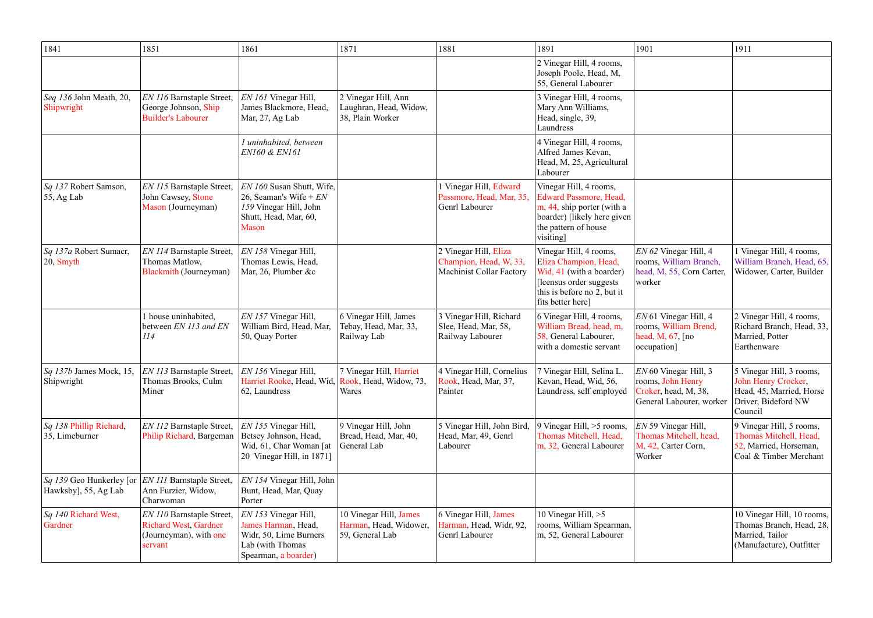| 1841                                               | 1851                                                                                                  | 1861                                                                                                              | 1871                                                                | 1881                                                                               | 1891                                                                                                                                                        | 1901                                                                                           | 1911                                                                                                          |
|----------------------------------------------------|-------------------------------------------------------------------------------------------------------|-------------------------------------------------------------------------------------------------------------------|---------------------------------------------------------------------|------------------------------------------------------------------------------------|-------------------------------------------------------------------------------------------------------------------------------------------------------------|------------------------------------------------------------------------------------------------|---------------------------------------------------------------------------------------------------------------|
|                                                    |                                                                                                       |                                                                                                                   |                                                                     |                                                                                    | 2 Vinegar Hill, 4 rooms,<br>Joseph Poole, Head, M,<br>55, General Labourer                                                                                  |                                                                                                |                                                                                                               |
| Seq 136 John Meath, 20,<br>Shipwright              | EN 116 Barnstaple Street,<br>George Johnson, Ship<br><b>Builder's Labourer</b>                        | EN 161 Vinegar Hill,<br>James Blackmore, Head,<br>Mar, 27, Ag Lab                                                 | 2 Vinegar Hill, Ann<br>Laughran, Head, Widow,<br>38, Plain Worker   |                                                                                    | 3 Vinegar Hill, 4 rooms,<br>Mary Ann Williams,<br>Head, single, 39,<br>Laundress                                                                            |                                                                                                |                                                                                                               |
|                                                    |                                                                                                       | I uninhabited, between<br>EN160 & EN161                                                                           |                                                                     |                                                                                    | 4 Vinegar Hill, 4 rooms,<br>Alfred James Kevan,<br>Head, M, 25, Agricultural<br>Labourer                                                                    |                                                                                                |                                                                                                               |
| <i>Sq 137</i> Robert Samson,<br>$\vert$ 55, Ag Lab | EN 115 Barnstaple Street,<br>John Cawsey, Stone<br>Mason (Journeyman)                                 | EN 160 Susan Shutt, Wife,<br>26, Seaman's Wife + $EN$<br>159 Vinegar Hill, John<br>Shutt, Head, Mar, 60,<br>Mason |                                                                     | l Vinegar Hill, Edward<br>Passmore, Head, Mar, 35,<br>Genrl Labourer               | Vinegar Hill, 4 rooms,<br><b>Edward Passmore, Head,</b><br>m, 44, ship porter (with a<br>boarder) [likely here given<br>the pattern of house<br>visiting]   |                                                                                                |                                                                                                               |
| Sq 137a Robert Sumacr,<br>$ 20, S$ myth            | EN 114 Barnstaple Street,<br>Thomas Matlow,<br>Blackmith (Journeyman)                                 | EN 158 Vinegar Hill,<br>Thomas Lewis, Head,<br>Mar, 26, Plumber &c                                                |                                                                     | 2 Vinegar Hill, Eliza<br>Champion, Head, W, 33,<br><b>Machinist Collar Factory</b> | Vinegar Hill, 4 rooms,<br>Eliza Champion, Head,<br>Wid, 41 (with a boarder)<br>[lcensus order suggests]<br>this is before no 2, but it<br>fits better here] | $EN 62$ Vinegar Hill, 4<br>rooms, William Branch,<br>head, M, 55, Corn Carter,<br>worker       | 1 Vinegar Hill, 4 rooms,<br>William Branch, Head, 65,<br>Widower, Carter, Builder                             |
|                                                    | 1 house uninhabited,<br>between EN 113 and EN<br>114                                                  | EN 157 Vinegar Hill,<br>William Bird, Head, Mar,<br>50, Quay Porter                                               | 6 Vinegar Hill, James<br>Tebay, Head, Mar, 33,<br>Railway Lab       | 3 Vinegar Hill, Richard<br>Slee, Head, Mar, 58,<br>Railway Labourer                | 6 Vinegar Hill, 4 rooms,<br>William Bread, head, m,<br>58, General Labourer,<br>with a domestic servant                                                     | EN 61 Vinegar Hill, 4<br>rooms, William Brend,<br>head, M, 67, [no<br>occupation]              | 2 Vinegar Hill, 4 rooms,<br>Richard Branch, Head, 33,<br>Married, Potter<br>Earthenware                       |
| Sq 137b James Mock, 15,<br>Shipwright              | <i>EN 113</i> Barnstaple Street,<br>Thomas Brooks, Culm<br>Miner                                      | $ EN\,156\,$ Vinegar Hill,<br>Harriet Rooke, Head, Wid, Rook, Head, Widow, 73,<br>62, Laundress                   | 7 Vinegar Hill, Harriet<br>Wares                                    | 4 Vinegar Hill, Cornelius<br>Rook, Head, Mar, 37,<br>Painter                       | 7 Vinegar Hill, Selina L.<br>Kevan, Head, Wid, 56,<br>Laundress, self employed                                                                              | EN 60 Vinegar Hill, 3<br>rooms, John Henry<br>Croker, head, M, 38,<br>General Labourer, worker | 5 Vinegar Hill, 3 rooms,<br>John Henry Crocker,<br>Head, 45, Married, Horse<br>Driver, Bideford NW<br>Council |
| Sq 138 Phillip Richard,<br>35, Limeburner          | EN 112 Barnstaple Street,<br>Philip Richard, Bargeman                                                 | EN 155 Vinegar Hill,<br>Betsey Johnson, Head,<br>Wid, 61, Char Woman [at]<br>20 Vinegar Hill, in 1871]            | 9 Vinegar Hill, John<br>Bread, Head, Mar, 40,<br>General Lab        | 5 Vinegar Hill, John Bird,<br>Head, Mar, 49, Genrl<br>Labourer                     | 9 Vinegar Hill, >5 rooms,<br>Thomas Mitchell, Head,<br>m, 32, General Labourer                                                                              | $EN$ 59 Vinegar Hill,<br>Thomas Mitchell, head,<br>M, 42, Carter Corn,<br>Worker               | 9 Vinegar Hill, 5 rooms,<br>Thomas Mitchell, Head,<br>52, Married, Horseman,<br>Coal & Timber Merchant        |
| Sq 139 Geo Hunkerley [or<br>Hawksby], 55, Ag Lab   | EN 111 Barnstaple Street,<br>Ann Furzier, Widow,<br>Charwoman                                         | EN 154 Vinegar Hill, John<br>Bunt, Head, Mar, Quay<br>Porter                                                      |                                                                     |                                                                                    |                                                                                                                                                             |                                                                                                |                                                                                                               |
| <i>Sq 140</i> Richard West,<br>Gardner             | <i>EN 110</i> Barnstaple Street,<br><b>Richard West, Gardner</b><br>(Journeyman), with one<br>servant | EN 153 Vinegar Hill,<br>James Harman, Head,<br>Widr, 50, Lime Burners<br>Lab (with Thomas<br>Spearman, a boarder) | 10 Vinegar Hill, James<br>Harman, Head, Widower,<br>59, General Lab | 6 Vinegar Hill, James<br>Harman, Head, Widr, 92,<br>Genrl Labourer                 | 10 Vinegar Hill, $>5$<br>rooms, William Spearman,<br>m, 52, General Labourer                                                                                |                                                                                                | 10 Vinegar Hill, 10 rooms,<br>Thomas Branch, Head, 28,<br>Married, Tailor<br>(Manufacture), Outfitter         |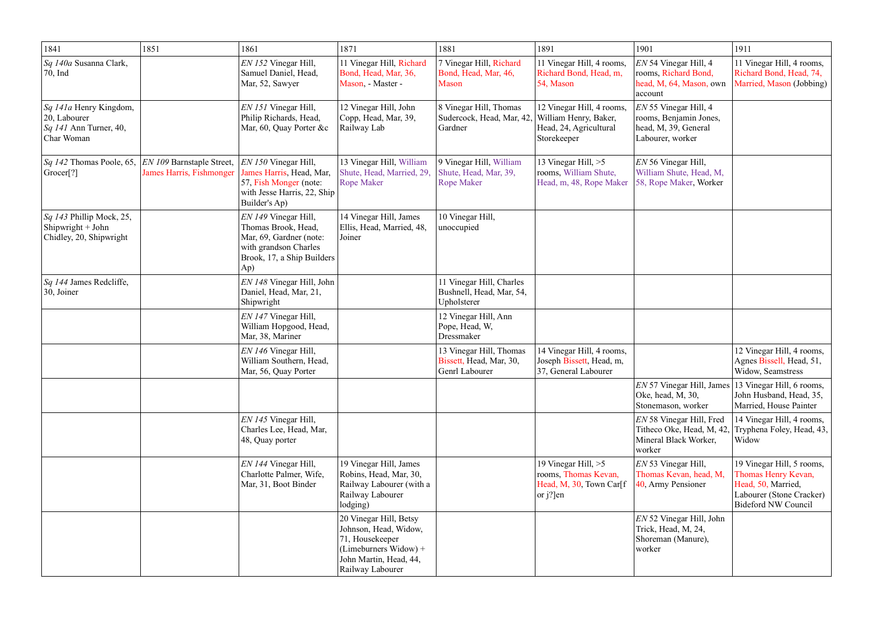| 1841                                                                                       | 1851                                                         | 1861                                                                                                                                 | 1871                                                                                                                                      | 1881                                                                  | 1891                                                                                        | 1901                                                                                          | 1911                                                                                                                             |
|--------------------------------------------------------------------------------------------|--------------------------------------------------------------|--------------------------------------------------------------------------------------------------------------------------------------|-------------------------------------------------------------------------------------------------------------------------------------------|-----------------------------------------------------------------------|---------------------------------------------------------------------------------------------|-----------------------------------------------------------------------------------------------|----------------------------------------------------------------------------------------------------------------------------------|
| <i>Sq 140a</i> Susanna Clark,<br>70, Ind                                                   |                                                              | EN 152 Vinegar Hill,<br>Samuel Daniel, Head,<br>Mar, 52, Sawyer                                                                      | 11 Vinegar Hill, Richard<br>Bond, Head, Mar, 36,<br>Mason, - Master -                                                                     | 7 Vinegar Hill, Richard<br>Bond, Head, Mar, 46,<br><b>Mason</b>       | 11 Vinegar Hill, 4 rooms,<br>Richard Bond, Head, m,<br>54, Mason                            | $EN$ 54 Vinegar Hill, 4<br>rooms, Richard Bond,<br>head, M, 64, Mason, own<br>account         | 11 Vinegar Hill, 4 rooms,<br>Richard Bond, Head, 74,<br>Married, Mason (Jobbing)                                                 |
| <i>Sq 141a</i> Henry Kingdom,<br>$ 20,$ Labourer<br>$Sq$ 141 Ann Turner, 40,<br>Char Woman |                                                              | EN 151 Vinegar Hill,<br>Philip Richards, Head,<br>Mar, 60, Quay Porter &c                                                            | 12 Vinegar Hill, John<br>Copp, Head, Mar, 39,<br>Railway Lab                                                                              | 8 Vinegar Hill, Thomas<br>Sudercock, Head, Mar, 42,<br>Gardner        | 12 Vinegar Hill, 4 rooms,<br>William Henry, Baker,<br>Head, 24, Agricultural<br>Storekeeper | $EN$ 55 Vinegar Hill, 4<br>rooms, Benjamin Jones,<br>head, M, 39, General<br>Labourer, worker |                                                                                                                                  |
| $\sqrt{sq}$ 142 Thomas Poole, 65,<br>$  \text{Grocer}[?]$                                  | EN 109 Barnstaple Street,<br><b>James Harris, Fishmonger</b> | $ EN\,150\,V$ inegar Hill,<br>James Harris, Head, Mar,<br>57, Fish Monger (note:<br>with Jesse Harris, 22, Ship<br>Builder's Ap)     | 13 Vinegar Hill, William<br>Shute, Head, Married, 29,<br><b>Rope Maker</b>                                                                | 9 Vinegar Hill, William<br>Shute, Head, Mar, 39,<br><b>Rope Maker</b> | 13 Vinegar Hill, >5<br>rooms, William Shute,<br>Head, m, 48, Rope Maker                     | EN 56 Vinegar Hill,<br>William Shute, Head, M,<br>58, Rope Maker, Worker                      |                                                                                                                                  |
| Sq 143 Phillip Mock, 25,<br>Shipwright + John<br>Chidley, 20, Shipwright                   |                                                              | EN 149 Vinegar Hill,<br>Thomas Brook, Head,<br>Mar, 69, Gardner (note:<br>with grandson Charles<br>Brook, 17, a Ship Builders<br>Ap) | 14 Vinegar Hill, James<br>Ellis, Head, Married, 48,<br>Joiner                                                                             | 10 Vinegar Hill,<br>unoccupied                                        |                                                                                             |                                                                                               |                                                                                                                                  |
| <i>Sq 144</i> James Redcliffe,<br>$ 30,$ Joiner                                            |                                                              | EN 148 Vinegar Hill, John<br>Daniel, Head, Mar, 21,<br>Shipwright                                                                    |                                                                                                                                           | 11 Vinegar Hill, Charles<br>Bushnell, Head, Mar, 54,<br>Upholsterer   |                                                                                             |                                                                                               |                                                                                                                                  |
|                                                                                            |                                                              | EN 147 Vinegar Hill,<br>William Hopgood, Head,<br>Mar, 38, Mariner                                                                   |                                                                                                                                           | 12 Vinegar Hill, Ann<br>Pope, Head, W,<br>Dressmaker                  |                                                                                             |                                                                                               |                                                                                                                                  |
|                                                                                            |                                                              | EN 146 Vinegar Hill,<br>William Southern, Head,<br>Mar, 56, Quay Porter                                                              |                                                                                                                                           | 13 Vinegar Hill, Thomas<br>Bissett, Head, Mar, 30,<br>Genrl Labourer  | 14 Vinegar Hill, 4 rooms,<br>Joseph Bissett, Head, m,<br>37, General Labourer               |                                                                                               | 12 Vinegar Hill, 4 rooms,<br>Agnes Bissell, Head, 51,<br>Widow, Seamstress                                                       |
|                                                                                            |                                                              |                                                                                                                                      |                                                                                                                                           |                                                                       |                                                                                             | EN 57 Vinegar Hill, James<br>Oke, head, M, 30,<br>Stonemason, worker                          | 13 Vinegar Hill, 6 rooms,<br>John Husband, Head, 35,<br>Married, House Painter                                                   |
|                                                                                            |                                                              | EN 145 Vinegar Hill,<br>Charles Lee, Head, Mar,<br>48, Quay porter                                                                   |                                                                                                                                           |                                                                       |                                                                                             | EN 58 Vinegar Hill, Fred<br>Titheco Oke, Head, M, 42,<br>Mineral Black Worker,<br>worker      | 14 Vinegar Hill, 4 rooms,<br>Tryphena Foley, Head, 43,<br>Widow                                                                  |
|                                                                                            |                                                              | EN 144 Vinegar Hill,<br>Charlotte Palmer, Wife,<br>Mar, 31, Boot Binder                                                              | 19 Vinegar Hill, James<br>Robins, Head, Mar, 30,<br>Railway Labourer (with a<br>Railway Labourer<br>lodging)                              |                                                                       | 19 Vinegar Hill, $>5$<br>rooms, Thomas Kevan,<br>Head, M, 30, Town Car[f]<br>or $j$ ?]en    | EN 53 Vinegar Hill,<br>Thomas Kevan, head, M,<br>40, Army Pensioner                           | 19 Vinegar Hill, 5 rooms,<br>Thomas Henry Kevan,<br>Head, 50, Married,<br>Labourer (Stone Cracker)<br><b>Bideford NW Council</b> |
|                                                                                            |                                                              |                                                                                                                                      | 20 Vinegar Hill, Betsy<br>Johnson, Head, Widow,<br>71, Housekeeper<br>(Limeburners Widow) +<br>John Martin, Head, 44,<br>Railway Labourer |                                                                       |                                                                                             | EN 52 Vinegar Hill, John<br>Trick, Head, M, 24,<br>Shoreman (Manure),<br>worker               |                                                                                                                                  |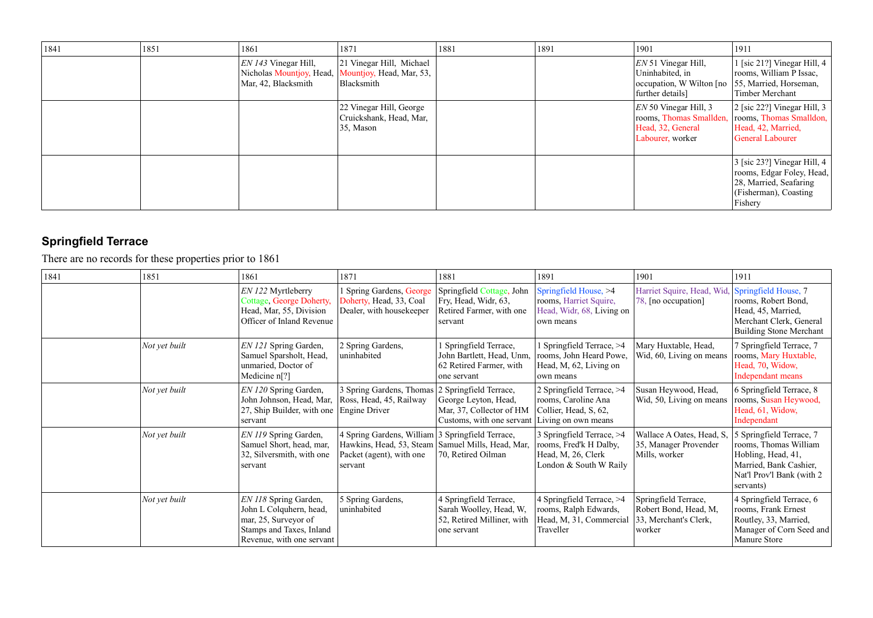| 1841 | 1851 | 1861                                                                      | 1871                                                               | 1881 | 1891 | 1901                                                                                        | 1911                                                                                                                   |
|------|------|---------------------------------------------------------------------------|--------------------------------------------------------------------|------|------|---------------------------------------------------------------------------------------------|------------------------------------------------------------------------------------------------------------------------|
|      |      | $ ENI43$ Vinegar Hill,<br>Nicholas Mountjoy, Head,<br>Mar, 42, Blacksmith | 21 Vinegar Hill, Michael<br>Mountjoy, Head, Mar, 53,<br>Blacksmith |      |      | EN 51 Vinegar Hill,<br>Uninhabited, in<br>occupation, W Wilton [no]<br>further details]     | 1 [sic 21?] Vinegar Hill, 4<br>rooms, William P Issac,<br>55, Married, Horseman,<br>Timber Merchant                    |
|      |      |                                                                           | 22 Vinegar Hill, George<br>Cruickshank, Head, Mar,<br>35, Mason    |      |      | $EN$ 50 Vinegar Hill, 3<br>rooms, Thomas Smallden,<br>Head, 32, General<br>Labourer, worker | $\vert$ 2 [sic 22?] Vinegar Hill, 3<br>rooms, Thomas Smalldon,<br>Head, 42, Married,<br>General Labourer               |
|      |      |                                                                           |                                                                    |      |      |                                                                                             | 3 [sic 23?] Vinegar Hill, 4<br>rooms, Edgar Foley, Head,<br>28, Married, Seafaring<br>(Fisherman), Coasting<br>Fishery |

# **Springfield Terrace**

There are no records for these properties prior to 1861

| 1841 | 1851          | 1861                                                                                                                              | 1871                                                                                                                                           | 1881                                                                                                    | 1891                                                                                                | 1901                                                                             | 1911                                                                                                                                        |
|------|---------------|-----------------------------------------------------------------------------------------------------------------------------------|------------------------------------------------------------------------------------------------------------------------------------------------|---------------------------------------------------------------------------------------------------------|-----------------------------------------------------------------------------------------------------|----------------------------------------------------------------------------------|---------------------------------------------------------------------------------------------------------------------------------------------|
|      |               | EN 122 Myrtleberry<br>Cottage, George Doherty,<br>Head, Mar, 55, Division<br>Officer of Inland Revenue                            | Spring Gardens, George<br>Doherty, Head, 33, Coal<br>Dealer, with housekeeper                                                                  | Springfield Cottage, John<br>Fry, Head, Widr, 63,<br>Retired Farmer, with one<br>servant                | Springfield House, >4<br>rooms, Harriet Squire,<br>Head, Widr, 68, Living on<br>own means           | Harriet Squire, Head, Wid.<br>78, [no occupation]                                | Springfield House, 7<br>rooms, Robert Bond,<br>Head, 45, Married,<br>Merchant Clerk, General<br><b>Building Stone Merchant</b>              |
|      | Not yet built | EN 121 Spring Garden,<br>Samuel Sparsholt, Head,<br>unmaried, Doctor of<br>Medicine $n[?]$                                        | 2 Spring Gardens,<br>uninhabited                                                                                                               | 1 Springfield Terrace,<br>John Bartlett, Head, Unm,<br>62 Retired Farmer, with<br>one servant           | 1 Springfield Terrace, >4<br>rooms, John Heard Powe,<br>Head, M, 62, Living on<br>own means         | Mary Huxtable, Head,<br>Wid, 60, Living on means                                 | 7 Springfield Terrace, 7<br>rooms, Mary Huxtable,<br>Head, 70, Widow,<br>Independant means                                                  |
|      | Not yet built | EN 120 Spring Garden,<br>John Johnson, Head, Mar,<br>27, Ship Builder, with one<br>servant                                        | 3 Spring Gardens, Thomas<br>Ross, Head, 45, Railway<br><b>Engine Driver</b>                                                                    | 2 Springfield Terrace,<br>George Leyton, Head,<br>Mar, 37, Collector of HM<br>Customs, with one servant | 2 Springfield Terrace, >4<br>rooms, Caroline Ana<br>Collier, Head, S, 62,<br>Living on own means    | Susan Heywood, Head,<br>Wid, 50, Living on means                                 | 6 Springfield Terrace, 8<br>rooms, Susan Heywood,<br>Head, 61, Widow,<br>Independant                                                        |
|      | Not yet built | EN 119 Spring Garden,<br>Samuel Short, head, mar,<br>32, Silversmith, with one<br>servant                                         | 4 Spring Gardens, William 3 Springfield Terrace,<br>Hawkins, Head, 53, Steam   Samuel Mills, Head, Mar,<br>Packet (agent), with one<br>servant | 70, Retired Oilman                                                                                      | 3 Springfield Terrace, >4<br>rooms, Fred'k H Dalby,<br>Head, M, 26, Clerk<br>London & South W Raily | Wallace A Oates, Head, S,<br>35, Manager Provender<br>Mills, worker              | 5 Springfield Terrace, 7<br>rooms, Thomas William<br>Hobling, Head, 41,<br>Married, Bank Cashier,<br>Nat'l Prov'l Bank (with 2<br>servants) |
|      | Not yet built | EN 118 Spring Garden,<br>John L Colquhern, head,<br>mar, 25, Surveyor of<br>Stamps and Taxes, Inland<br>Revenue, with one servant | 5 Spring Gardens,<br>uninhabited                                                                                                               | 4 Springfield Terrace,<br>Sarah Woolley, Head, W,<br>52, Retired Milliner, with<br>one servant          | 4 Springfield Terrace, >4<br>rooms, Ralph Edwards,<br>Head, M, 31, Commercial<br>Traveller          | Springfield Terrace,<br>Robert Bond, Head, M,<br>33, Merchant's Clerk,<br>worker | 4 Springfield Terrace, 6<br>rooms, Frank Ernest<br>Routley, 33, Married,<br>Manager of Corn Seed and<br><b>Manure Store</b>                 |